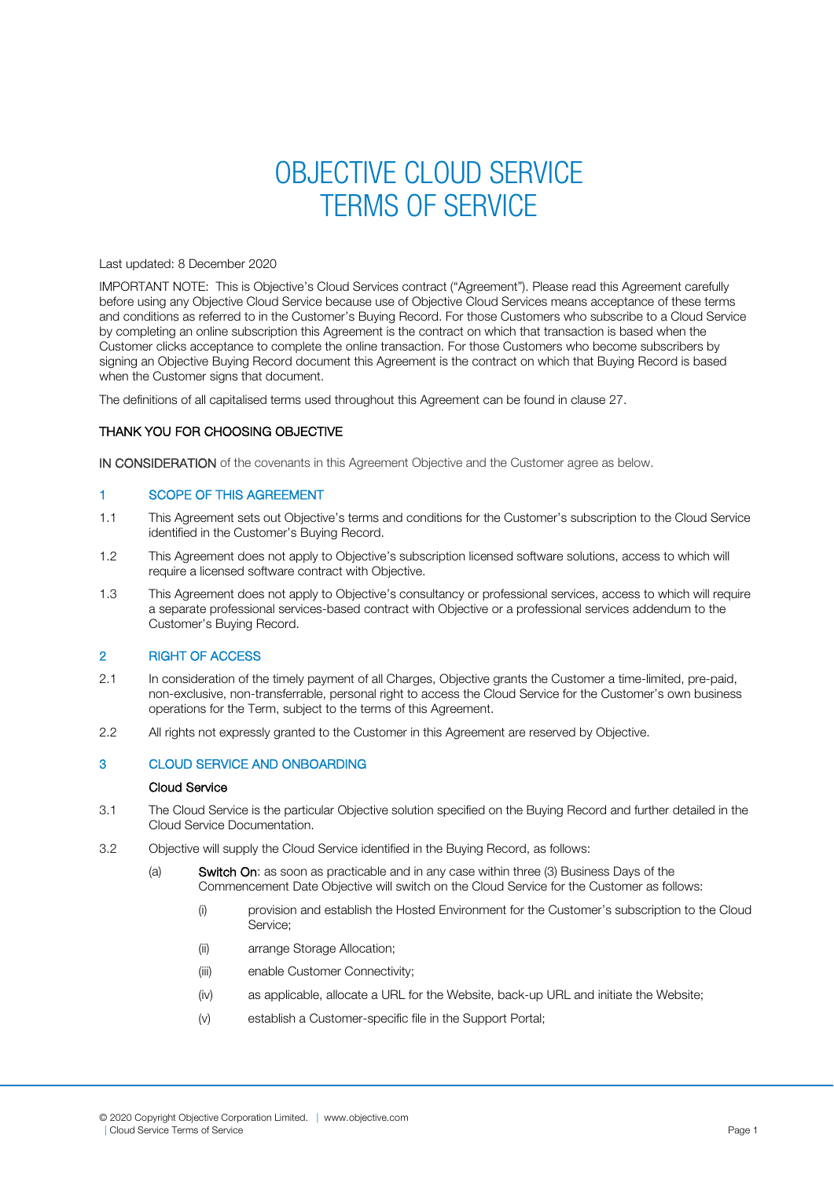# OBJECTIVE CLOUD SERVICE TERMS OF SERVICE

#### Last updated: 8 December 2020

IMPORTANT NOTE: This is Objective's Cloud Services contract ("Agreement"). Please read this Agreement carefully before using any Objective Cloud Service because use of Objective Cloud Services means acceptance of these terms and conditions as referred to in the Customer's Buying Record. For those Customers who subscribe to a Cloud Service by completing an online subscription this Agreement is the contract on which that transaction is based when the Customer clicks acceptance to complete the online transaction. For those Customers who become subscribers by signing an Objective Buying Record document this Agreement is the contract on which that Buying Record is based when the Customer signs that document.

The definitions of all capitalised terms used throughout this Agreement can be found in clause 27.

# THANK YOU FOR CHOOSING OBJECTIVE

IN CONSIDERATION of the covenants in this Agreement Objective and the Customer agree as below.

## 1 SCOPE OF THIS AGREEMENT

- 1.1 This Agreement sets out Objective's terms and conditions for the Customer's subscription to the Cloud Service identified in the Customer's Buying Record.
- 1.2 This Agreement does not apply to Objective's subscription licensed software solutions, access to which will require a licensed software contract with Objective.
- 1.3 This Agreement does not apply to Objective's consultancy or professional services, access to which will require a separate professional services-based contract with Objective or a professional services addendum to the Customer's Buying Record.

## 2 RIGHT OF ACCESS

- 2.1 In consideration of the timely payment of all Charges, Objective grants the Customer a time-limited, pre-paid, non-exclusive, non-transferrable, personal right to access the Cloud Service for the Customer's own business operations for the Term, subject to the terms of this Agreement.
- 2.2 All rights not expressly granted to the Customer in this Agreement are reserved by Objective.

## 3 CLOUD SERVICE AND ONBOARDING

## Cloud Service

- 3.1 The Cloud Service is the particular Objective solution specified on the Buying Record and further detailed in the Cloud Service Documentation.
- 3.2 Objective will supply the Cloud Service identified in the Buying Record, as follows:
	- (a) Switch On: as soon as practicable and in any case within three (3) Business Days of the Commencement Date Objective will switch on the Cloud Service for the Customer as follows:
		- (i) provision and establish the Hosted Environment for the Customer's subscription to the Cloud Service;
		- (ii) arrange Storage Allocation;
		- (iii) enable Customer Connectivity;
		- (iv) as applicable, allocate a URL for the Website, back-up URL and initiate the Website;
		- (v) establish a Customer-specific file in the Support Portal;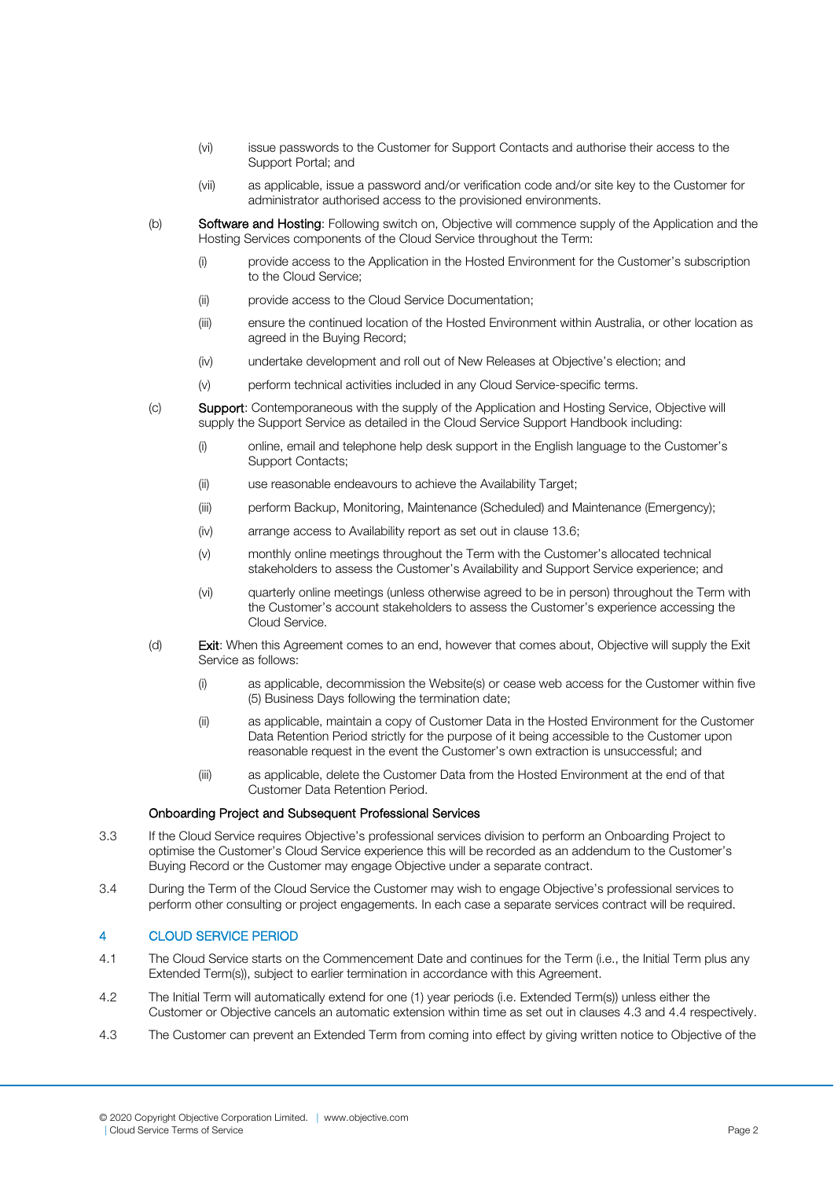- (vi) issue passwords to the Customer for Support Contacts and authorise their access to the Support Portal; and
- (vii) as applicable, issue a password and/or verification code and/or site key to the Customer for administrator authorised access to the provisioned environments.
- (b) Software and Hosting: Following switch on, Objective will commence supply of the Application and the Hosting Services components of the Cloud Service throughout the Term:
	- (i) provide access to the Application in the Hosted Environment for the Customer's subscription to the Cloud Service;
	- (ii) provide access to the Cloud Service Documentation;
	- (iii) ensure the continued location of the Hosted Environment within Australia, or other location as agreed in the Buying Record;
	- (iv) undertake development and roll out of New Releases at Objective's election; and
	- (v) perform technical activities included in any Cloud Service-specific terms.
- (c) Support: Contemporaneous with the supply of the Application and Hosting Service, Objective will supply the Support Service as detailed in the Cloud Service Support Handbook including:
	- (i) online, email and telephone help desk support in the English language to the Customer's Support Contacts;
	- (ii) use reasonable endeavours to achieve the Availability Target;
	- (iii) perform Backup, Monitoring, Maintenance (Scheduled) and Maintenance (Emergency);
	- (iv) arrange access to Availability report as set out in clause 13.6;
	- (v) monthly online meetings throughout the Term with the Customer's allocated technical stakeholders to assess the Customer's Availability and Support Service experience; and
	- (vi) quarterly online meetings (unless otherwise agreed to be in person) throughout the Term with the Customer's account stakeholders to assess the Customer's experience accessing the Cloud Service.
- (d) Exit: When this Agreement comes to an end, however that comes about, Objective will supply the Exit Service as follows:
	- (i) as applicable, decommission the Website(s) or cease web access for the Customer within five (5) Business Days following the termination date;
	- (ii) as applicable, maintain a copy of Customer Data in the Hosted Environment for the Customer Data Retention Period strictly for the purpose of it being accessible to the Customer upon reasonable request in the event the Customer's own extraction is unsuccessful; and
	- (iii) as applicable, delete the Customer Data from the Hosted Environment at the end of that Customer Data Retention Period.

#### Onboarding Project and Subsequent Professional Services

- 3.3 If the Cloud Service requires Objective's professional services division to perform an Onboarding Project to optimise the Customer's Cloud Service experience this will be recorded as an addendum to the Customer's Buying Record or the Customer may engage Objective under a separate contract.
- 3.4 During the Term of the Cloud Service the Customer may wish to engage Objective's professional services to perform other consulting or project engagements. In each case a separate services contract will be required.

## 4 CLOUD SERVICE PERIOD

- 4.1 The Cloud Service starts on the Commencement Date and continues for the Term (i.e., the Initial Term plus any Extended Term(s)), subject to earlier termination in accordance with this Agreement.
- 4.2 The Initial Term will automatically extend for one (1) year periods (i.e. Extended Term(s)) unless either the Customer or Objective cancels an automatic extension within time as set out in clauses 4.3 and 4.4 respectively.
- 4.3 The Customer can prevent an Extended Term from coming into effect by giving written notice to Objective of the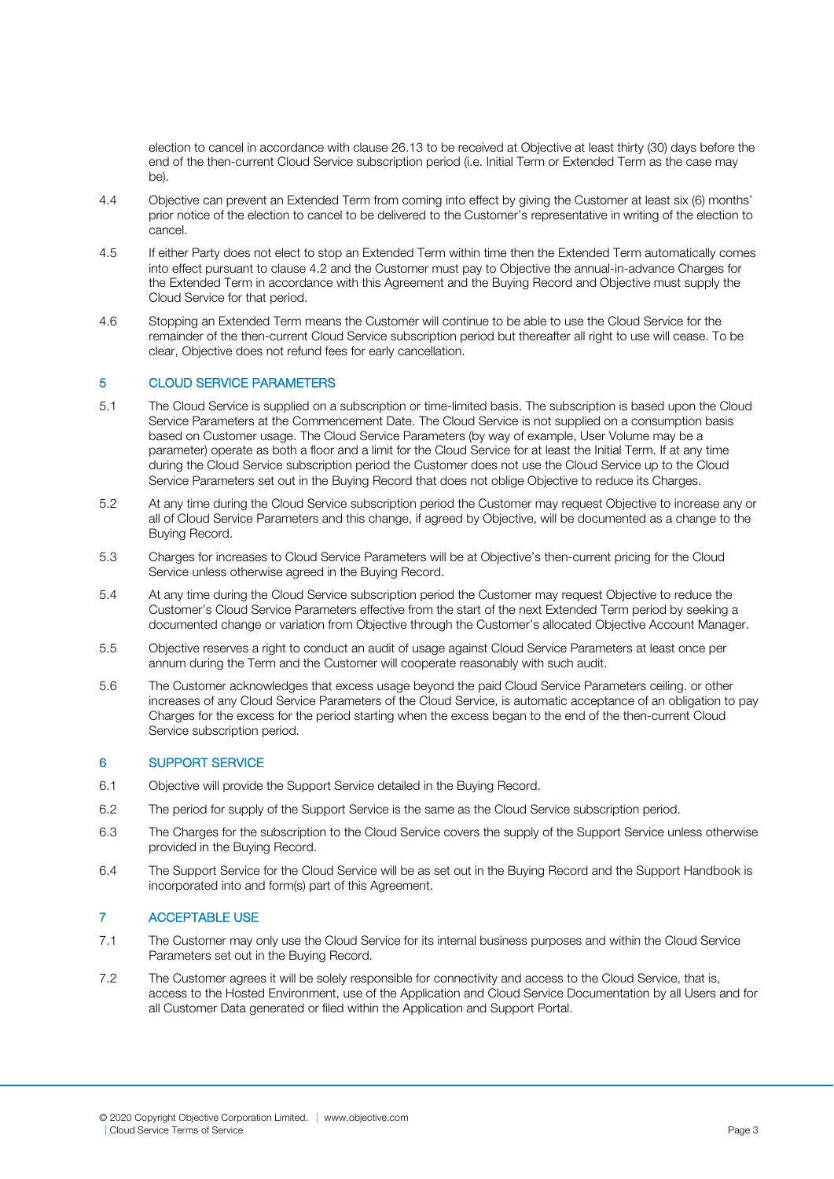election to cancel in accordance with clause 26.13 to be received at Objective at least thirty (30) days before the end of the then-current Cloud Service subscription period (i.e. Initial Term or Extended Term as the case may be).

- 4.4 Objective can prevent an Extended Term from coming into effect by giving the Customer at least six (6) months' prior notice of the election to cancel to be delivered to the Customer's representative in writing of the election to .<br>cancel.
- 4.5 If either Party does not elect to stop an Extended Term within time then the Extended Term automatically comes into effect pursuant to clause 4.2 and the Customer must pay to Objective the annual-in-advance Charges for the Extended Term in accordance with this Agreement and the Buying Record and Objective must supply the Cloud Service for that period.
- 4.6 Stopping an Extended Term means the Customer will continue to be able to use the Cloud Service for the remainder of the then-current Cloud Service subscription period but thereafter all right to use will cease. To be clear, Objective does not refund fees for early cancellation.

# 5 CLOUD SERVICE PARAMETERS

- 5.1 The Cloud Service is supplied on a subscription or time-limited basis. The subscription is based upon the Cloud Service Parameters at the Commencement Date. The Cloud Service is not supplied on a consumption basis based on Customer usage. The Cloud Service Parameters (by way of example, User Volume may be a parameter) operate as both a floor and a limit for the Cloud Service for at least the Initial Term. If at any time during the Cloud Service subscription period the Customer does not use the Cloud Service up to the Cloud Service Parameters set out in the Buying Record that does not oblige Objective to reduce its Charges.
- 5.2 At any time during the Cloud Service subscription period the Customer may request Objective to increase any or all of Cloud Service Parameters and this change, if agreed by Objective, will be documented as a change to the Buying Record.
- 5.3 Charges for increases to Cloud Service Parameters will be at Objective's then-current pricing for the Cloud Service unless otherwise agreed in the Buying Record.
- 5.4 At any time during the Cloud Service subscription period the Customer may request Objective to reduce the Customer's Cloud Service Parameters effective from the start of the next Extended Term period by seeking a documented change or variation from Objective through the Customer's allocated Objective Account Manager.
- 5.5 Objective reserves a right to conduct an audit of usage against Cloud Service Parameters at least once per annum during the Term and the Customer will cooperate reasonably with such audit.
- 5.6 The Customer acknowledges that excess usage beyond the paid Cloud Service Parameters ceiling. or other increases of any Cloud Service Parameters of the Cloud Service, is automatic acceptance of an obligation to pay Charges for the excess for the period starting when the excess began to the end of the then-current Cloud Service subscription period.

## 6 SUPPORT SERVICE

- 6.1 Objective will provide the Support Service detailed in the Buying Record.
- 6.2 The period for supply of the Support Service is the same as the Cloud Service subscription period.
- 6.3 The Charges for the subscription to the Cloud Service covers the supply of the Support Service unless otherwise provided in the Buying Record.
- 6.4 The Support Service for the Cloud Service will be as set out in the Buying Record and the Support Handbook is incorporated into and form(s) part of this Agreement.

# 7 ACCEPTABLE USE

- 7.1 The Customer may only use the Cloud Service for its internal business purposes and within the Cloud Service Parameters set out in the Buying Record.
- 7.2 The Customer agrees it will be solely responsible for connectivity and access to the Cloud Service, that is, access to the Hosted Environment, use of the Application and Cloud Service Documentation by all Users and for all Customer Data generated or filed within the Application and Support Portal.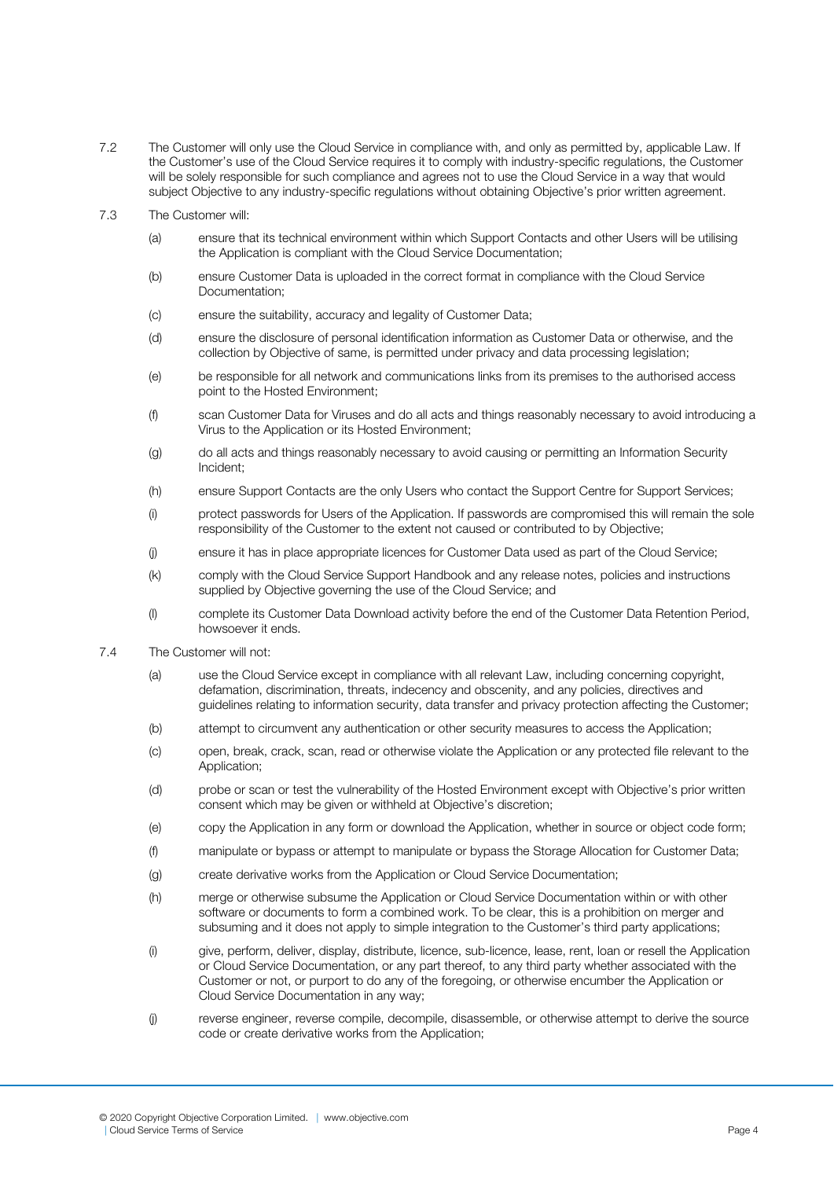- 7.2 The Customer will only use the Cloud Service in compliance with, and only as permitted by, applicable Law. If the Customer's use of the Cloud Service requires it to comply with industry-specific regulations, the Customer will be solely responsible for such compliance and agrees not to use the Cloud Service in a way that would subject Objective to any industry-specific regulations without obtaining Objective's prior written agreement.
- 7.3 The Customer will:
	- (a) ensure that its technical environment within which Support Contacts and other Users will be utilising the Application is compliant with the Cloud Service Documentation;
	- (b) ensure Customer Data is uploaded in the correct format in compliance with the Cloud Service Documentation;
	- (c) ensure the suitability, accuracy and legality of Customer Data;
	- (d) ensure the disclosure of personal identification information as Customer Data or otherwise, and the collection by Objective of same, is permitted under privacy and data processing legislation;
	- (e) be responsible for all network and communications links from its premises to the authorised access point to the Hosted Environment;
	- (f) scan Customer Data for Viruses and do all acts and things reasonably necessary to avoid introducing a Virus to the Application or its Hosted Environment;
	- (g) do all acts and things reasonably necessary to avoid causing or permitting an Information Security Incident;
	- (h) ensure Support Contacts are the only Users who contact the Support Centre for Support Services;
	- (i) protect passwords for Users of the Application. If passwords are compromised this will remain the sole responsibility of the Customer to the extent not caused or contributed to by Objective;
	- (j) ensure it has in place appropriate licences for Customer Data used as part of the Cloud Service;
	- (k) comply with the Cloud Service Support Handbook and any release notes, policies and instructions supplied by Objective governing the use of the Cloud Service; and
	- (l) complete its Customer Data Download activity before the end of the Customer Data Retention Period, howsoever it ends.
- 7.4 The Customer will not:
	- (a) use the Cloud Service except in compliance with all relevant Law, including concerning copyright, defamation, discrimination, threats, indecency and obscenity, and any policies, directives and guidelines relating to information security, data transfer and privacy protection affecting the Customer;
	- (b) attempt to circumvent any authentication or other security measures to access the Application;
	- (c) open, break, crack, scan, read or otherwise violate the Application or any protected file relevant to the Application;
	- (d) probe or scan or test the vulnerability of the Hosted Environment except with Objective's prior written consent which may be given or withheld at Objective's discretion;
	- (e) copy the Application in any form or download the Application, whether in source or object code form;
	- (f) manipulate or bypass or attempt to manipulate or bypass the Storage Allocation for Customer Data;
	- (g) create derivative works from the Application or Cloud Service Documentation;
	- (h) merge or otherwise subsume the Application or Cloud Service Documentation within or with other software or documents to form a combined work. To be clear, this is a prohibition on merger and subsuming and it does not apply to simple integration to the Customer's third party applications;
	- (i) give, perform, deliver, display, distribute, licence, sub-licence, lease, rent, loan or resell the Application or Cloud Service Documentation, or any part thereof, to any third party whether associated with the Customer or not, or purport to do any of the foregoing, or otherwise encumber the Application or Cloud Service Documentation in any way;
	- (j) reverse engineer, reverse compile, decompile, disassemble, or otherwise attempt to derive the source code or create derivative works from the Application;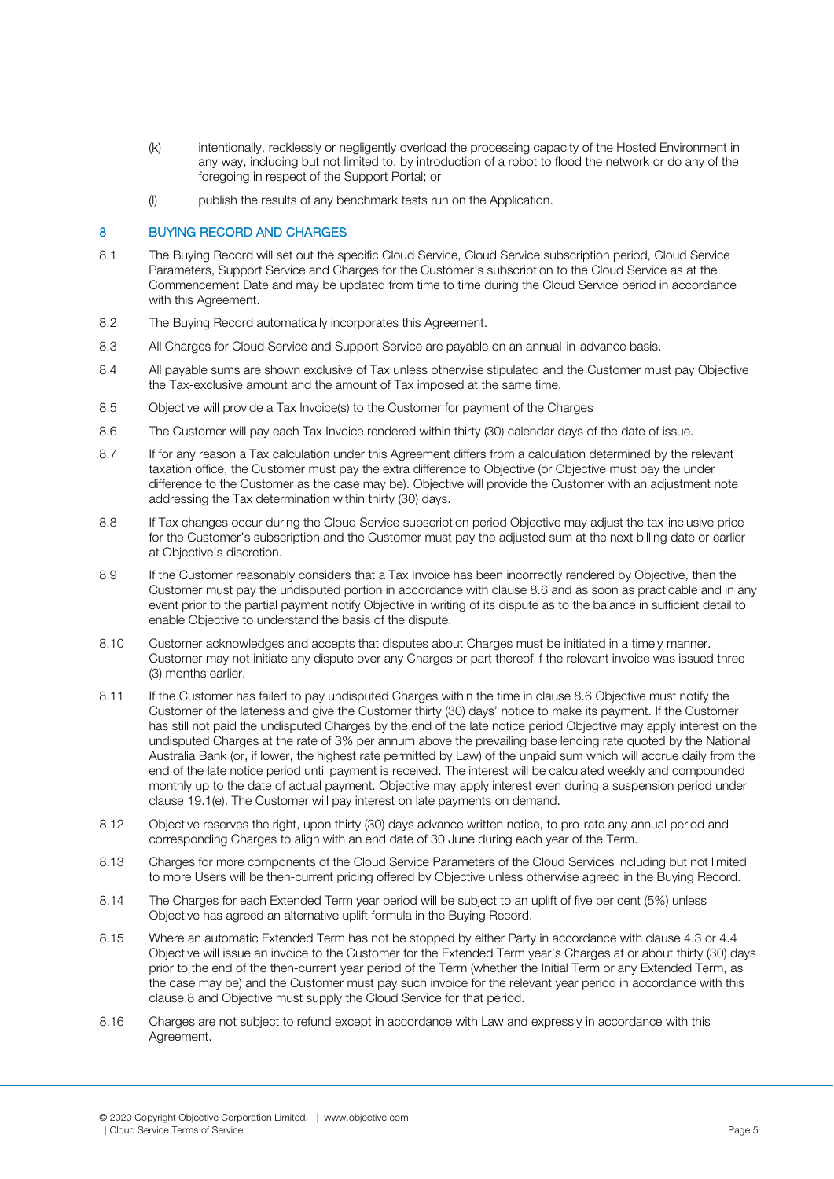- (k) intentionally, recklessly or negligently overload the processing capacity of the Hosted Environment in any way, including but not limited to, by introduction of a robot to flood the network or do any of the foregoing in respect of the Support Portal; or
- (l) publish the results of any benchmark tests run on the Application.

#### 8 BUYING RECORD AND CHARGES

- 8.1 The Buying Record will set out the specific Cloud Service, Cloud Service subscription period, Cloud Service Parameters, Support Service and Charges for the Customer's subscription to the Cloud Service as at the Commencement Date and may be updated from time to time during the Cloud Service period in accordance with this Agreement.
- 8.2 The Buying Record automatically incorporates this Agreement.
- 8.3 All Charges for Cloud Service and Support Service are payable on an annual-in-advance basis.
- 8.4 All payable sums are shown exclusive of Tax unless otherwise stipulated and the Customer must pay Objective the Tax-exclusive amount and the amount of Tax imposed at the same time.
- 8.5 Objective will provide a Tax Invoice(s) to the Customer for payment of the Charges
- 8.6 The Customer will pay each Tax Invoice rendered within thirty (30) calendar days of the date of issue.
- 8.7 If for any reason a Tax calculation under this Agreement differs from a calculation determined by the relevant taxation office, the Customer must pay the extra difference to Objective (or Objective must pay the under difference to the Customer as the case may be). Objective will provide the Customer with an adjustment note addressing the Tax determination within thirty (30) days.
- 8.8 If Tax changes occur during the Cloud Service subscription period Objective may adjust the tax-inclusive price for the Customer's subscription and the Customer must pay the adjusted sum at the next billing date or earlier at Objective's discretion.
- 8.9 If the Customer reasonably considers that a Tax Invoice has been incorrectly rendered by Objective, then the Customer must pay the undisputed portion in accordance with clause 8.6 and as soon as practicable and in any event prior to the partial payment notify Objective in writing of its dispute as to the balance in sufficient detail to enable Objective to understand the basis of the dispute.
- 8.10 Customer acknowledges and accepts that disputes about Charges must be initiated in a timely manner. Customer may not initiate any dispute over any Charges or part thereof if the relevant invoice was issued three (3) months earlier.
- 8.11 If the Customer has failed to pay undisputed Charges within the time in clause 8.6 Objective must notify the Customer of the lateness and give the Customer thirty (30) days' notice to make its payment. If the Customer has still not paid the undisputed Charges by the end of the late notice period Objective may apply interest on the undisputed Charges at the rate of 3% per annum above the prevailing base lending rate quoted by the National Australia Bank (or, if lower, the highest rate permitted by Law) of the unpaid sum which will accrue daily from the end of the late notice period until payment is received. The interest will be calculated weekly and compounded monthly up to the date of actual payment. Objective may apply interest even during a suspension period under clause 19.1(e). The Customer will pay interest on late payments on demand.
- 8.12 Objective reserves the right, upon thirty (30) days advance written notice, to pro-rate any annual period and corresponding Charges to align with an end date of 30 June during each year of the Term.
- 8.13 Charges for more components of the Cloud Service Parameters of the Cloud Services including but not limited to more Users will be then-current pricing offered by Objective unless otherwise agreed in the Buying Record.
- 8.14 The Charges for each Extended Term year period will be subject to an uplift of five per cent (5%) unless Objective has agreed an alternative uplift formula in the Buying Record.
- 8.15 Where an automatic Extended Term has not be stopped by either Party in accordance with clause 4.3 or 4.4 Objective will issue an invoice to the Customer for the Extended Term year's Charges at or about thirty (30) days prior to the end of the then-current year period of the Term (whether the Initial Term or any Extended Term, as the case may be) and the Customer must pay such invoice for the relevant year period in accordance with this clause 8 and Objective must supply the Cloud Service for that period.
- 8.16 Charges are not subject to refund except in accordance with Law and expressly in accordance with this Agreement.

<sup>© 2020</sup> Copyright Objective Corporation Limited. | [www.objective.com](http://www.objective.com/) | Cloud Service Terms of Service Page 5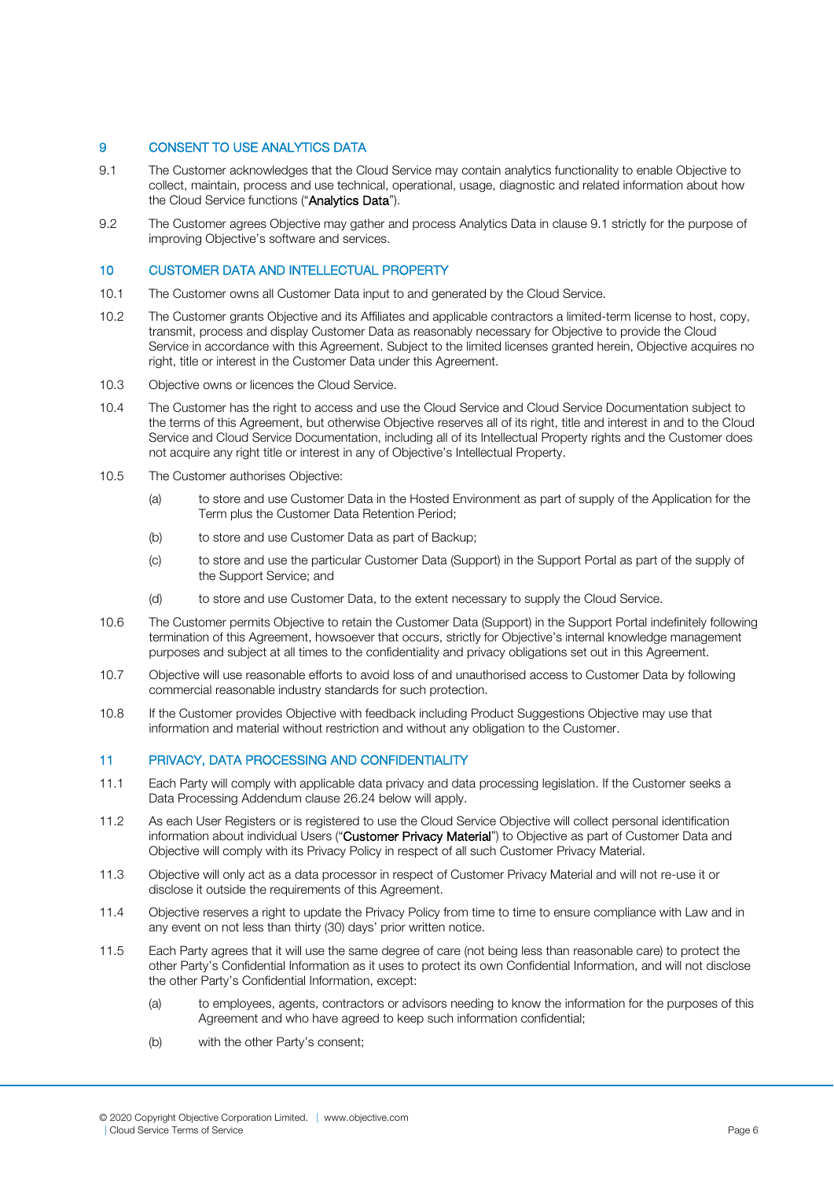# 9 CONSENT TO USE ANALYTICS DATA

- 9.1 The Customer acknowledges that the Cloud Service may contain analytics functionality to enable Objective to collect, maintain, process and use technical, operational, usage, diagnostic and related information about how the Cloud Service functions ("Analytics Data").
- 9.2 The Customer agrees Objective may gather and process Analytics Data in clause 9.1 strictly for the purpose of improving Objective's software and services.

## 10 CUSTOMER DATA AND INTELLECTUAL PROPERTY

- 10.1 The Customer owns all Customer Data input to and generated by the Cloud Service.
- 10.2 The Customer grants Objective and its Affiliates and applicable contractors a limited-term license to host, copy, transmit, process and display Customer Data as reasonably necessary for Objective to provide the Cloud Service in accordance with this Agreement. Subject to the limited licenses granted herein, Objective acquires no right, title or interest in the Customer Data under this Agreement.
- 10.3 Objective owns or licences the Cloud Service.
- 10.4 The Customer has the right to access and use the Cloud Service and Cloud Service Documentation subject to the terms of this Agreement, but otherwise Objective reserves all of its right, title and interest in and to the Cloud Service and Cloud Service Documentation, including all of its Intellectual Property rights and the Customer does not acquire any right title or interest in any of Objective's Intellectual Property.
- 10.5 The Customer authorises Objective:
	- (a) to store and use Customer Data in the Hosted Environment as part of supply of the Application for the Term plus the Customer Data Retention Period;
	- (b) to store and use Customer Data as part of Backup;
	- (c) to store and use the particular Customer Data (Support) in the Support Portal as part of the supply of the Support Service; and
	- (d) to store and use Customer Data, to the extent necessary to supply the Cloud Service.
- 10.6 The Customer permits Objective to retain the Customer Data (Support) in the Support Portal indefinitely following termination of this Agreement, howsoever that occurs, strictly for Objective's internal knowledge management purposes and subject at all times to the confidentiality and privacy obligations set out in this Agreement.
- 10.7 Objective will use reasonable efforts to avoid loss of and unauthorised access to Customer Data by following commercial reasonable industry standards for such protection.
- 10.8 If the Customer provides Objective with feedback including Product Suggestions Objective may use that information and material without restriction and without any obligation to the Customer.

## 11 PRIVACY, DATA PROCESSING AND CONFIDENTIALITY

- 11.1 Each Party will comply with applicable data privacy and data processing legislation. If the Customer seeks a Data Processing Addendum clause 26.24 below will apply.
- 11.2 As each User Registers or is registered to use the Cloud Service Objective will collect personal identification information about individual Users ("Customer Privacy Material") to Objective as part of Customer Data and Objective will comply with its Privacy Policy in respect of all such Customer Privacy Material.
- 11.3 Objective will only act as a data processor in respect of Customer Privacy Material and will not re-use it or disclose it outside the requirements of this Agreement.
- 11.4 Objective reserves a right to update the Privacy Policy from time to time to ensure compliance with Law and in any event on not less than thirty (30) days' prior written notice.
- 11.5 Each Party agrees that it will use the same degree of care (not being less than reasonable care) to protect the other Party's Confidential Information as it uses to protect its own Confidential Information, and will not disclose the other Party's Confidential Information, except:
	- (a) to employees, agents, contractors or advisors needing to know the information for the purposes of this Agreement and who have agreed to keep such information confidential;
	- (b) with the other Party's consent;

<sup>© 2020</sup> Copyright Objective Corporation Limited. | [www.objective.com](http://www.objective.com/) | Cloud Service Terms of Service Page 6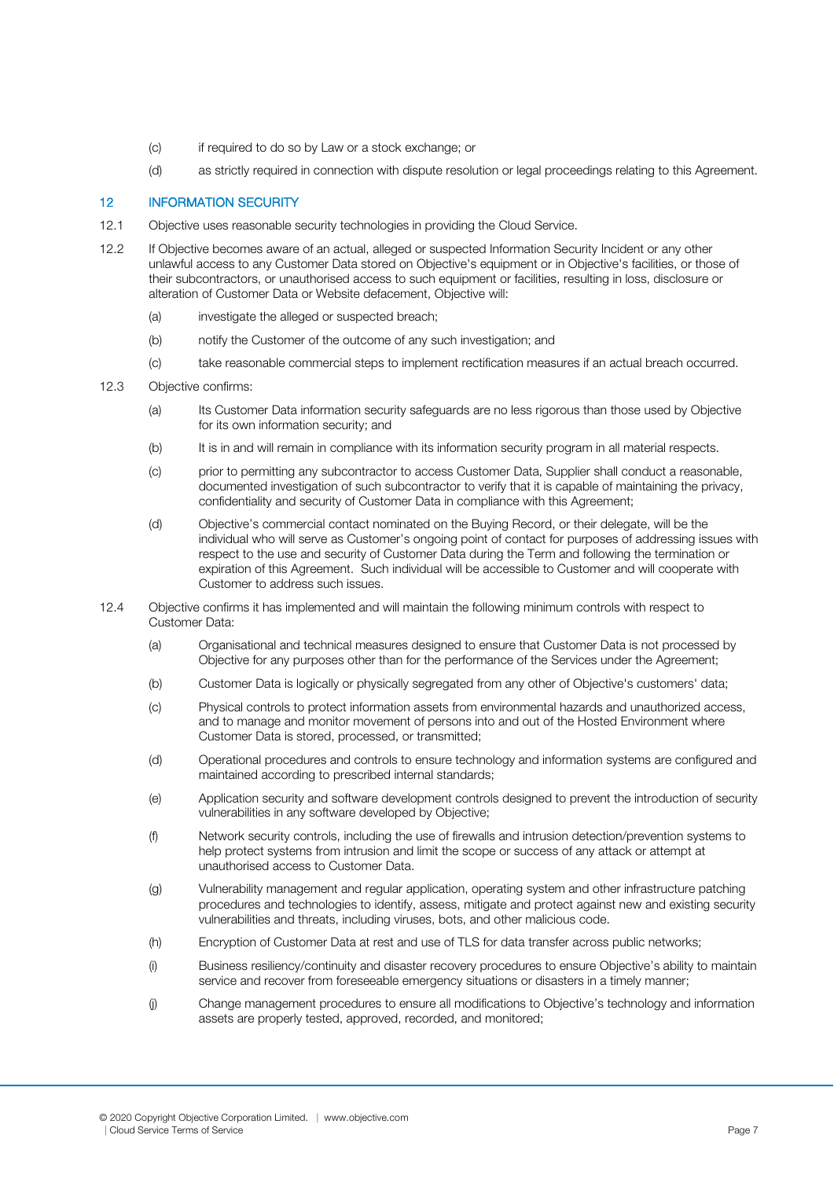- (c) if required to do so by Law or a stock exchange; or
- (d) as strictly required in connection with dispute resolution or legal proceedings relating to this Agreement.

## 12 INFORMATION SECURITY

- 12.1 Objective uses reasonable security technologies in providing the Cloud Service.
- 12.2 If Objective becomes aware of an actual, alleged or suspected Information Security Incident or any other unlawful access to any Customer Data stored on Objective's equipment or in Objective's facilities, or those of their subcontractors, or unauthorised access to such equipment or facilities, resulting in loss, disclosure or alteration of Customer Data or Website defacement, Objective will:
	- (a) investigate the alleged or suspected breach;
	- (b) notify the Customer of the outcome of any such investigation; and
	- (c) take reasonable commercial steps to implement rectification measures if an actual breach occurred.
- 12.3 Objective confirms:
	- (a) Its Customer Data information security safeguards are no less rigorous than those used by Objective for its own information security; and
	- (b) It is in and will remain in compliance with its information security program in all material respects.
	- (c) prior to permitting any subcontractor to access Customer Data, Supplier shall conduct a reasonable, documented investigation of such subcontractor to verify that it is capable of maintaining the privacy, confidentiality and security of Customer Data in compliance with this Agreement;
	- (d) Objective's commercial contact nominated on the Buying Record, or their delegate, will be the individual who will serve as Customer's ongoing point of contact for purposes of addressing issues with respect to the use and security of Customer Data during the Term and following the termination or expiration of this Agreement. Such individual will be accessible to Customer and will cooperate with Customer to address such issues.
- 12.4 Objective confirms it has implemented and will maintain the following minimum controls with respect to Customer Data:
	- (a) Organisational and technical measures designed to ensure that Customer Data is not processed by Objective for any purposes other than for the performance of the Services under the Agreement;
	- (b) Customer Data is logically or physically segregated from any other of Objective's customers' data;
	- (c) Physical controls to protect information assets from environmental hazards and unauthorized access, and to manage and monitor movement of persons into and out of the Hosted Environment where Customer Data is stored, processed, or transmitted;
	- (d) Operational procedures and controls to ensure technology and information systems are configured and maintained according to prescribed internal standards;
	- (e) Application security and software development controls designed to prevent the introduction of security vulnerabilities in any software developed by Objective;
	- (f) Network security controls, including the use of firewalls and intrusion detection/prevention systems to help protect systems from intrusion and limit the scope or success of any attack or attempt at unauthorised access to Customer Data.
	- (g) Vulnerability management and regular application, operating system and other infrastructure patching procedures and technologies to identify, assess, mitigate and protect against new and existing security vulnerabilities and threats, including viruses, bots, and other malicious code.
	- (h) Encryption of Customer Data at rest and use of TLS for data transfer across public networks;
	- (i) Business resiliency/continuity and disaster recovery procedures to ensure Objective's ability to maintain service and recover from foreseeable emergency situations or disasters in a timely manner;
	- (j) Change management procedures to ensure all modifications to Objective's technology and information assets are properly tested, approved, recorded, and monitored;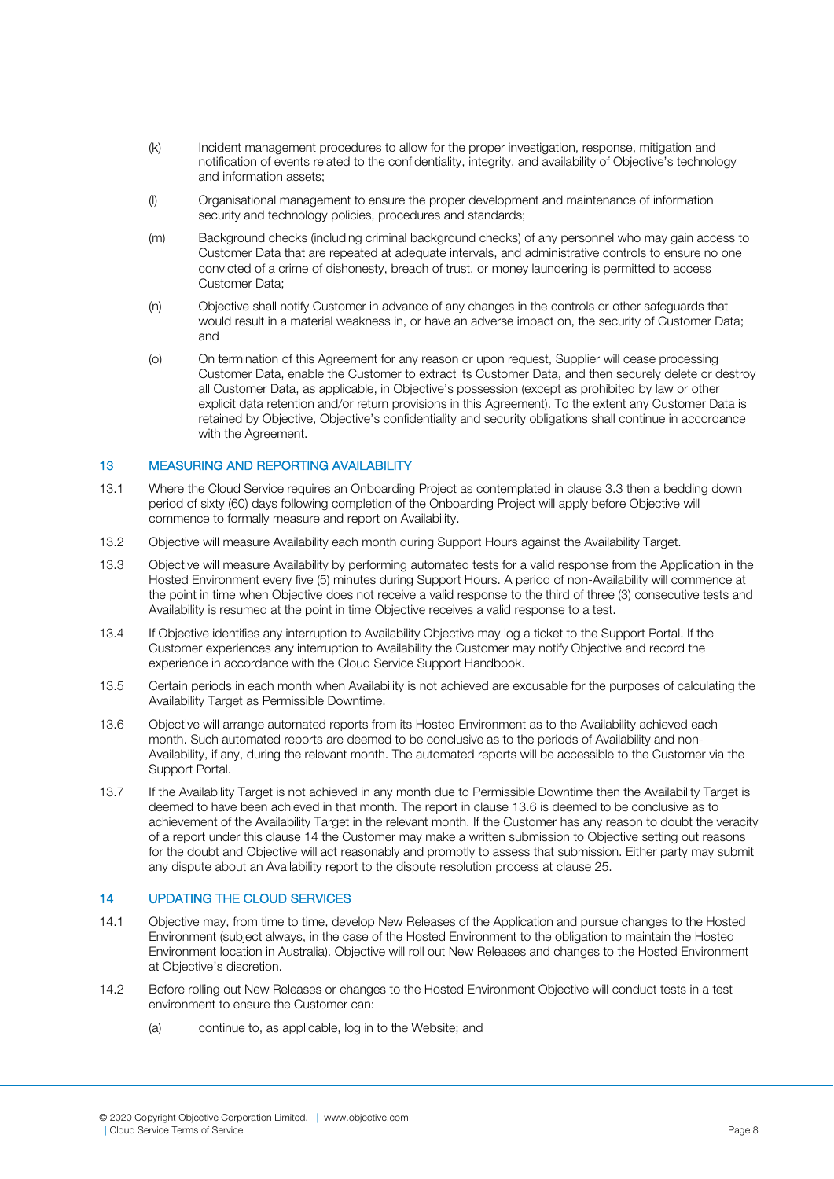- (k) Incident management procedures to allow for the proper investigation, response, mitigation and notification of events related to the confidentiality, integrity, and availability of Objective's technology and information assets;
- (l) Organisational management to ensure the proper development and maintenance of information security and technology policies, procedures and standards;
- (m) Background checks (including criminal background checks) of any personnel who may gain access to Customer Data that are repeated at adequate intervals, and administrative controls to ensure no one convicted of a crime of dishonesty, breach of trust, or money laundering is permitted to access Customer Data;
- (n) Objective shall notify Customer in advance of any changes in the controls or other safeguards that would result in a material weakness in, or have an adverse impact on, the security of Customer Data; and
- (o) On termination of this Agreement for any reason or upon request, Supplier will cease processing Customer Data, enable the Customer to extract its Customer Data, and then securely delete or destroy all Customer Data, as applicable, in Objective's possession (except as prohibited by law or other explicit data retention and/or return provisions in this Agreement). To the extent any Customer Data is retained by Objective, Objective's confidentiality and security obligations shall continue in accordance with the Agreement.

## 13 MEASURING AND REPORTING AVAILABILITY

- 13.1 Where the Cloud Service requires an Onboarding Project as contemplated in clause 3.3 then a bedding down period of sixty (60) days following completion of the Onboarding Project will apply before Objective will commence to formally measure and report on Availability.
- 13.2 Objective will measure Availability each month during Support Hours against the Availability Target.
- 13.3 Objective will measure Availability by performing automated tests for a valid response from the Application in the Hosted Environment every five (5) minutes during Support Hours. A period of non-Availability will commence at the point in time when Objective does not receive a valid response to the third of three (3) consecutive tests and Availability is resumed at the point in time Objective receives a valid response to a test.
- 13.4 If Objective identifies any interruption to Availability Objective may log a ticket to the Support Portal. If the Customer experiences any interruption to Availability the Customer may notify Objective and record the experience in accordance with the Cloud Service Support Handbook.
- 13.5 Certain periods in each month when Availability is not achieved are excusable for the purposes of calculating the Availability Target as Permissible Downtime.
- 13.6 Objective will arrange automated reports from its Hosted Environment as to the Availability achieved each month. Such automated reports are deemed to be conclusive as to the periods of Availability and non-Availability, if any, during the relevant month. The automated reports will be accessible to the Customer via the Support Portal.
- 13.7 If the Availability Target is not achieved in any month due to Permissible Downtime then the Availability Target is deemed to have been achieved in that month. The report in clause 13.6 is deemed to be conclusive as to achievement of the Availability Target in the relevant month. If the Customer has any reason to doubt the veracity of a report under this clause 14 the Customer may make a written submission to Objective setting out reasons for the doubt and Objective will act reasonably and promptly to assess that submission. Either party may submit any dispute about an Availability report to the dispute resolution process at clause 25.

# 14 UPDATING THE CLOUD SERVICES

- 14.1 Objective may, from time to time, develop New Releases of the Application and pursue changes to the Hosted Environment (subject always, in the case of the Hosted Environment to the obligation to maintain the Hosted Environment location in Australia). Objective will roll out New Releases and changes to the Hosted Environment at Objective's discretion.
- 14.2 Before rolling out New Releases or changes to the Hosted Environment Objective will conduct tests in a test environment to ensure the Customer can:
	- (a) continue to, as applicable, log in to the Website; and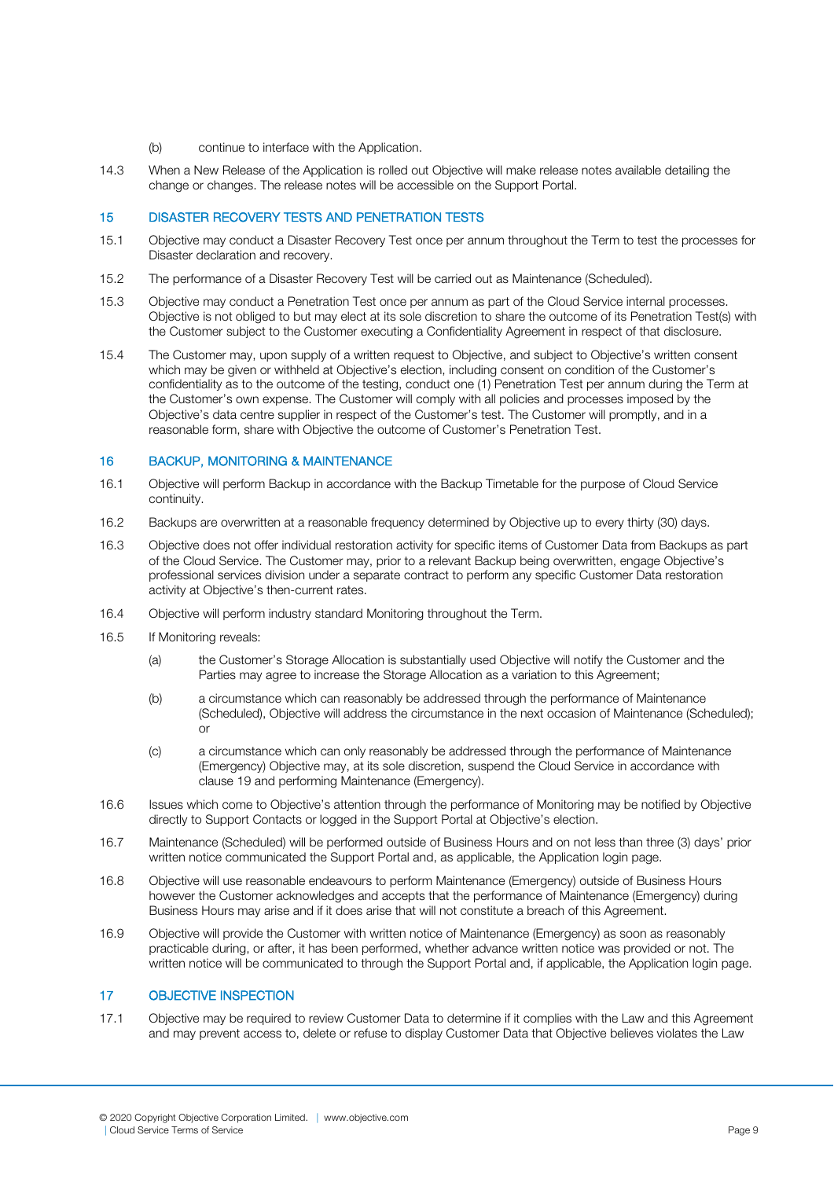- (b) continue to interface with the Application.
- 14.3 When a New Release of the Application is rolled out Objective will make release notes available detailing the change or changes. The release notes will be accessible on the Support Portal.

## 15 DISASTER RECOVERY TESTS AND PENETRATION TESTS

- 15.1 Objective may conduct a Disaster Recovery Test once per annum throughout the Term to test the processes for Disaster declaration and recovery.
- 15.2 The performance of a Disaster Recovery Test will be carried out as Maintenance (Scheduled).
- 15.3 Objective may conduct a Penetration Test once per annum as part of the Cloud Service internal processes. Objective is not obliged to but may elect at its sole discretion to share the outcome of its Penetration Test(s) with the Customer subject to the Customer executing a Confidentiality Agreement in respect of that disclosure.
- 15.4 The Customer may, upon supply of a written request to Objective, and subject to Objective's written consent which may be given or withheld at Objective's election, including consent on condition of the Customer's confidentiality as to the outcome of the testing, conduct one (1) Penetration Test per annum during the Term at the Customer's own expense. The Customer will comply with all policies and processes imposed by the Objective's data centre supplier in respect of the Customer's test. The Customer will promptly, and in a reasonable form, share with Objective the outcome of Customer's Penetration Test.

# 16 BACKUP, MONITORING & MAINTENANCE

- 16.1 Objective will perform Backup in accordance with the Backup Timetable for the purpose of Cloud Service continuity.
- 16.2 Backups are overwritten at a reasonable frequency determined by Objective up to every thirty (30) days.
- 16.3 Objective does not offer individual restoration activity for specific items of Customer Data from Backups as part of the Cloud Service. The Customer may, prior to a relevant Backup being overwritten, engage Objective's professional services division under a separate contract to perform any specific Customer Data restoration activity at Objective's then-current rates.
- 16.4 Objective will perform industry standard Monitoring throughout the Term.
- 16.5 If Monitoring reveals:
	- (a) the Customer's Storage Allocation is substantially used Objective will notify the Customer and the Parties may agree to increase the Storage Allocation as a variation to this Agreement:
	- (b) a circumstance which can reasonably be addressed through the performance of Maintenance (Scheduled), Objective will address the circumstance in the next occasion of Maintenance (Scheduled); or
	- (c) a circumstance which can only reasonably be addressed through the performance of Maintenance (Emergency) Objective may, at its sole discretion, suspend the Cloud Service in accordance with clause 19 and performing Maintenance (Emergency).
- 16.6 Issues which come to Objective's attention through the performance of Monitoring may be notified by Objective directly to Support Contacts or logged in the Support Portal at Objective's election.
- 16.7 Maintenance (Scheduled) will be performed outside of Business Hours and on not less than three (3) days' prior written notice communicated the Support Portal and, as applicable, the Application login page.
- 16.8 Objective will use reasonable endeavours to perform Maintenance (Emergency) outside of Business Hours however the Customer acknowledges and accepts that the performance of Maintenance (Emergency) during Business Hours may arise and if it does arise that will not constitute a breach of this Agreement.
- 16.9 Objective will provide the Customer with written notice of Maintenance (Emergency) as soon as reasonably practicable during, or after, it has been performed, whether advance written notice was provided or not. The written notice will be communicated to through the Support Portal and, if applicable, the Application login page.

#### 17 OBJECTIVE INSPECTION

17.1 Objective may be required to review Customer Data to determine if it complies with the Law and this Agreement and may prevent access to, delete or refuse to display Customer Data that Objective believes violates the Law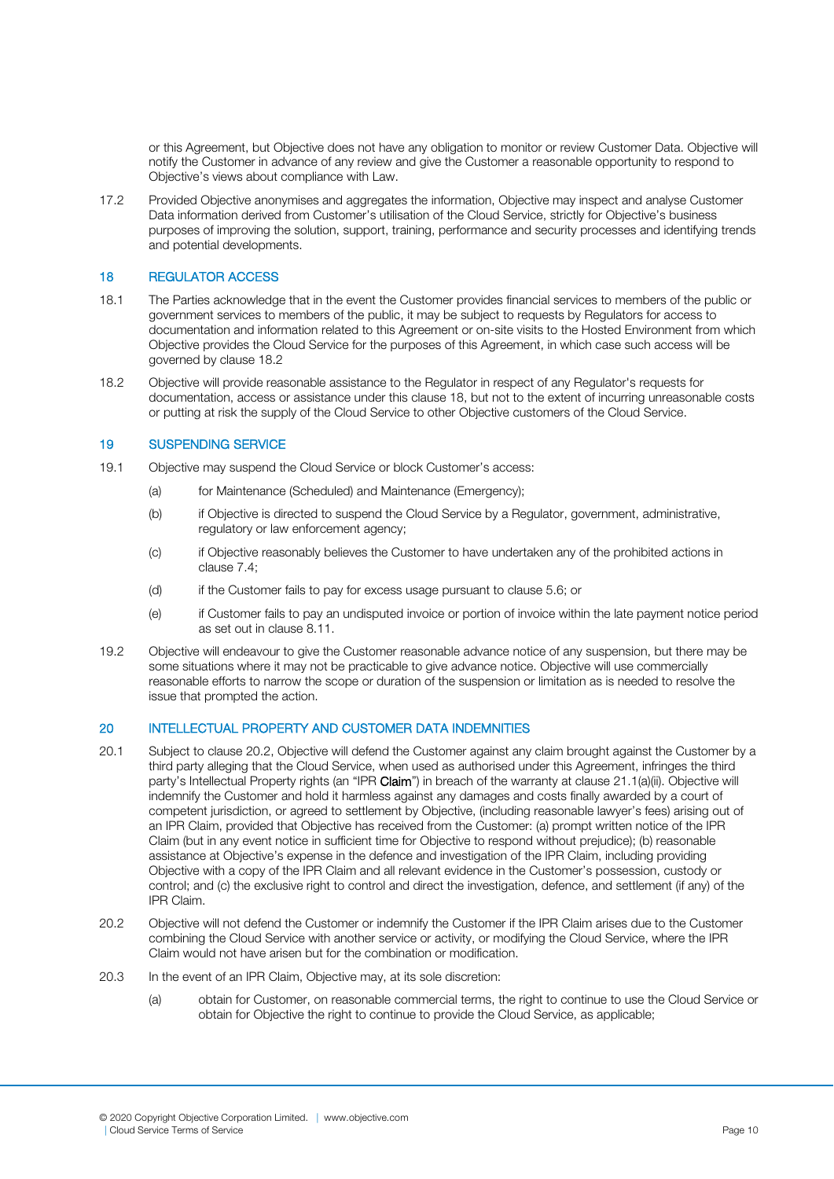or this Agreement, but Objective does not have any obligation to monitor or review Customer Data. Objective will notify the Customer in advance of any review and give the Customer a reasonable opportunity to respond to Objective's views about compliance with Law.

17.2 Provided Objective anonymises and aggregates the information, Objective may inspect and analyse Customer Data information derived from Customer's utilisation of the Cloud Service, strictly for Objective's business purposes of improving the solution, support, training, performance and security processes and identifying trends and potential developments.

#### 18 REGULATOR ACCESS

- 18.1 The Parties acknowledge that in the event the Customer provides financial services to members of the public or government services to members of the public, it may be subject to requests by Regulators for access to documentation and information related to this Agreement or on-site visits to the Hosted Environment from which Objective provides the Cloud Service for the purposes of this Agreement, in which case such access will be governed by clause 18.2
- 18.2 Objective will provide reasonable assistance to the Regulator in respect of any Regulator's requests for documentation, access or assistance under this clause 18, but not to the extent of incurring unreasonable costs or putting at risk the supply of the Cloud Service to other Objective customers of the Cloud Service.

#### 19 SUSPENDING SERVICE

- 19.1 Objective may suspend the Cloud Service or block Customer's access:
	- (a) for Maintenance (Scheduled) and Maintenance (Emergency);
	- (b) if Objective is directed to suspend the Cloud Service by a Regulator, government, administrative, regulatory or law enforcement agency;
	- (c) if Objective reasonably believes the Customer to have undertaken any of the prohibited actions in clause 7.4;
	- (d) if the Customer fails to pay for excess usage pursuant to clause 5.6; or
	- (e) if Customer fails to pay an undisputed invoice or portion of invoice within the late payment notice period as set out in clause 8.11.
- 19.2 Objective will endeavour to give the Customer reasonable advance notice of any suspension, but there may be some situations where it may not be practicable to give advance notice. Objective will use commercially reasonable efforts to narrow the scope or duration of the suspension or limitation as is needed to resolve the issue that prompted the action.

# 20 INTELLECTUAL PROPERTY AND CUSTOMER DATA INDEMNITIES

- 20.1 Subject to clause 20.2, Objective will defend the Customer against any claim brought against the Customer by a third party alleging that the Cloud Service, when used as authorised under this Agreement, infringes the third party's Intellectual Property rights (an "IPR Claim") in breach of the warranty at clause 21.1(a)(ii). Objective will indemnify the Customer and hold it harmless against any damages and costs finally awarded by a court of competent jurisdiction, or agreed to settlement by Objective, (including reasonable lawyer's fees) arising out of an IPR Claim, provided that Objective has received from the Customer: (a) prompt written notice of the IPR Claim (but in any event notice in sufficient time for Objective to respond without prejudice); (b) reasonable assistance at Objective's expense in the defence and investigation of the IPR Claim, including providing Objective with a copy of the IPR Claim and all relevant evidence in the Customer's possession, custody or control; and (c) the exclusive right to control and direct the investigation, defence, and settlement (if any) of the IPR Claim.
- 20.2 Objective will not defend the Customer or indemnify the Customer if the IPR Claim arises due to the Customer combining the Cloud Service with another service or activity, or modifying the Cloud Service, where the IPR Claim would not have arisen but for the combination or modification.
- 20.3 In the event of an IPR Claim, Objective may, at its sole discretion:
	- (a) obtain for Customer, on reasonable commercial terms, the right to continue to use the Cloud Service or obtain for Objective the right to continue to provide the Cloud Service, as applicable;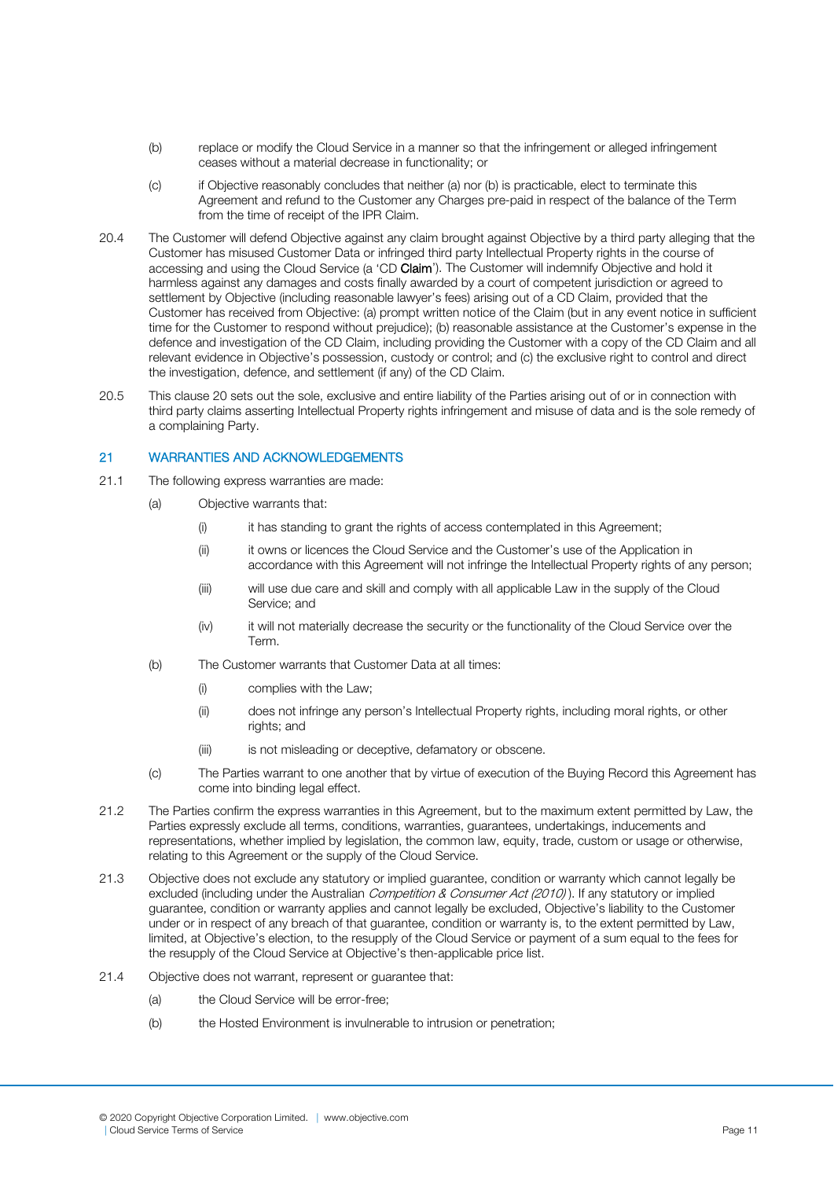- (b) replace or modify the Cloud Service in a manner so that the infringement or alleged infringement ceases without a material decrease in functionality; or
- (c) if Objective reasonably concludes that neither (a) nor (b) is practicable, elect to terminate this Agreement and refund to the Customer any Charges pre-paid in respect of the balance of the Term from the time of receipt of the IPR Claim.
- 20.4 The Customer will defend Objective against any claim brought against Objective by a third party alleging that the Customer has misused Customer Data or infringed third party Intellectual Property rights in the course of accessing and using the Cloud Service (a 'CD Claim'). The Customer will indemnify Objective and hold it harmless against any damages and costs finally awarded by a court of competent jurisdiction or agreed to settlement by Objective (including reasonable lawyer's fees) arising out of a CD Claim, provided that the Customer has received from Objective: (a) prompt written notice of the Claim (but in any event notice in sufficient time for the Customer to respond without prejudice); (b) reasonable assistance at the Customer's expense in the defence and investigation of the CD Claim, including providing the Customer with a copy of the CD Claim and all relevant evidence in Objective's possession, custody or control; and (c) the exclusive right to control and direct the investigation, defence, and settlement (if any) of the CD Claim.
- 20.5 This clause 20 sets out the sole, exclusive and entire liability of the Parties arising out of or in connection with third party claims asserting Intellectual Property rights infringement and misuse of data and is the sole remedy of a complaining Party.

# 21 WARRANTIES AND ACKNOWLEDGEMENTS

- 21.1 The following express warranties are made:
	- (a) Objective warrants that:
		- (i) it has standing to grant the rights of access contemplated in this Agreement:
		- (ii) it owns or licences the Cloud Service and the Customer's use of the Application in accordance with this Agreement will not infringe the Intellectual Property rights of any person;
		- (iii) will use due care and skill and comply with all applicable Law in the supply of the Cloud Service; and
		- (iv) it will not materially decrease the security or the functionality of the Cloud Service over the Term.
	- (b) The Customer warrants that Customer Data at all times:
		- (i) complies with the Law;
		- (ii) does not infringe any person's Intellectual Property rights, including moral rights, or other rights; and
		- (iii) is not misleading or deceptive, defamatory or obscene.
	- (c) The Parties warrant to one another that by virtue of execution of the Buying Record this Agreement has come into binding legal effect.
- 21.2 The Parties confirm the express warranties in this Agreement, but to the maximum extent permitted by Law, the Parties expressly exclude all terms, conditions, warranties, guarantees, undertakings, inducements and representations, whether implied by legislation, the common law, equity, trade, custom or usage or otherwise, relating to this Agreement or the supply of the Cloud Service.
- 21.3 Objective does not exclude any statutory or implied guarantee, condition or warranty which cannot legally be excluded (including under the Australian Competition & Consumer Act (2010)). If any statutory or implied guarantee, condition or warranty applies and cannot legally be excluded, Objective's liability to the Customer under or in respect of any breach of that guarantee, condition or warranty is, to the extent permitted by Law, limited, at Objective's election, to the resupply of the Cloud Service or payment of a sum equal to the fees for the resupply of the Cloud Service at Objective's then-applicable price list.
- 21.4 Objective does not warrant, represent or guarantee that:
	- (a) the Cloud Service will be error-free;
	- (b) the Hosted Environment is invulnerable to intrusion or penetration;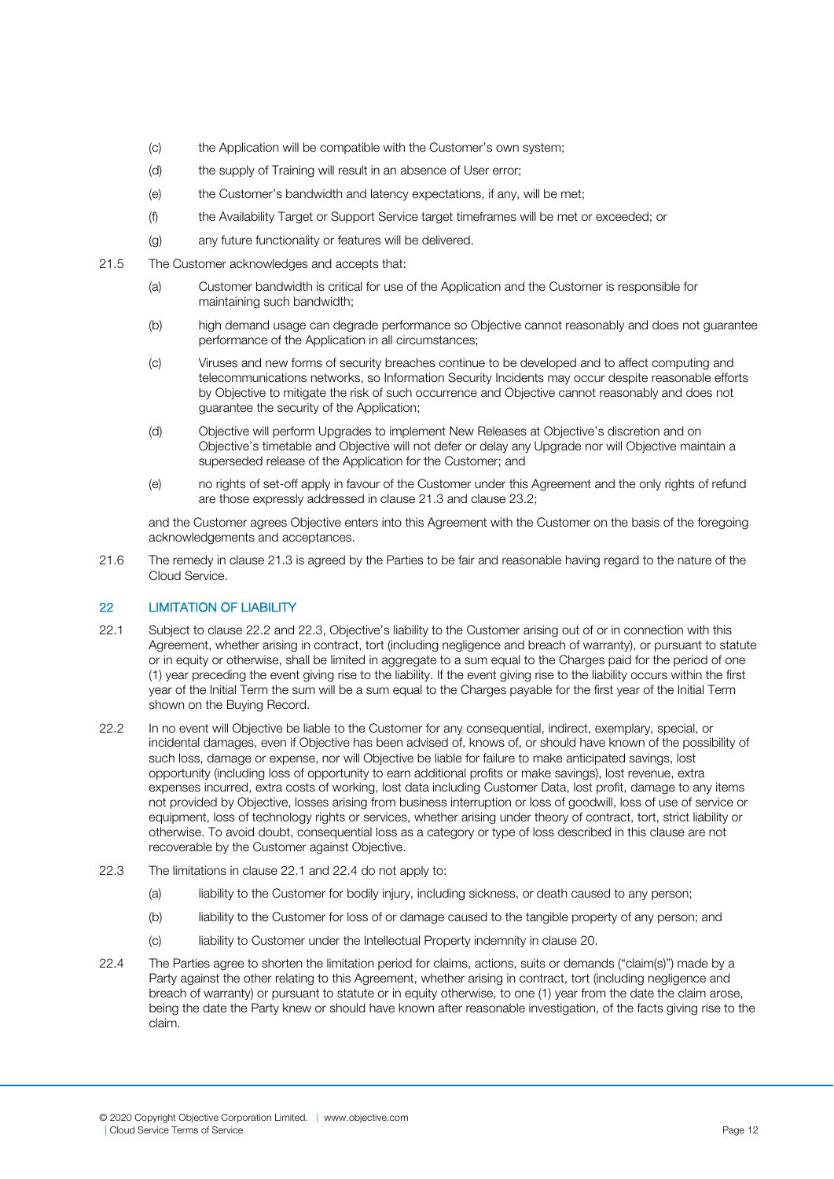- (c) the Application will be compatible with the Customer's own system;
- (d) the supply of Training will result in an absence of User error;
- (e) the Customer's bandwidth and latency expectations, if any, will be met;
- (f) the Availability Target or Support Service target timeframes will be met or exceeded; or
- (g) any future functionality or features will be delivered.
- 21.5 The Customer acknowledges and accepts that:
	- (a) Customer bandwidth is critical for use of the Application and the Customer is responsible for maintaining such bandwidth;
	- (b) high demand usage can degrade performance so Objective cannot reasonably and does not guarantee performance of the Application in all circumstances;
	- (c) Viruses and new forms of security breaches continue to be developed and to affect computing and telecommunications networks, so Information Security Incidents may occur despite reasonable efforts by Objective to mitigate the risk of such occurrence and Objective cannot reasonably and does not guarantee the security of the Application;
	- (d) Objective will perform Upgrades to implement New Releases at Objective's discretion and on Objective's timetable and Objective will not defer or delay any Upgrade nor will Objective maintain a superseded release of the Application for the Customer; and
	- (e) no rights of set-off apply in favour of the Customer under this Agreement and the only rights of refund are those expressly addressed in clause 21.3 and clause 23.2;

and the Customer agrees Objective enters into this Agreement with the Customer on the basis of the foregoing acknowledgements and acceptances.

21.6 The remedy in clause 21.3 is agreed by the Parties to be fair and reasonable having regard to the nature of the Cloud Service.

# 22 **LIMITATION OF LIABILITY**

- 22.1 Subject to clause 22.2 and 22.3, Objective's liability to the Customer arising out of or in connection with this Agreement, whether arising in contract, tort (including negligence and breach of warranty), or pursuant to statute or in equity or otherwise, shall be limited in aggregate to a sum equal to the Charges paid for the period of one (1) year preceding the event giving rise to the liability. If the event giving rise to the liability occurs within the first year of the Initial Term the sum will be a sum equal to the Charges payable for the first year of the Initial Term shown on the Buying Record.
- 22.2 In no event will Objective be liable to the Customer for any consequential, indirect, exemplary, special, or incidental damages, even if Objective has been advised of, knows of, or should have known of the possibility of such loss, damage or expense, nor will Objective be liable for failure to make anticipated savings, lost opportunity (including loss of opportunity to earn additional profits or make savings), lost revenue, extra expenses incurred, extra costs of working, lost data including Customer Data, lost profit, damage to any items not provided by Objective, losses arising from business interruption or loss of goodwill, loss of use of service or equipment, loss of technology rights or services, whether arising under theory of contract, tort, strict liability or otherwise. To avoid doubt, consequential loss as a category or type of loss described in this clause are not recoverable by the Customer against Objective.
- 22.3 The limitations in clause 22.1 and 22.4 do not apply to:
	- (a) liability to the Customer for bodily injury, including sickness, or death caused to any person;
	- (b) liability to the Customer for loss of or damage caused to the tangible property of any person; and
	- (c) liability to Customer under the Intellectual Property indemnity in clause 20.
- 22.4 The Parties agree to shorten the limitation period for claims, actions, suits or demands ("claim(s)") made by a Party against the other relating to this Agreement, whether arising in contract, tort (including negligence and breach of warranty) or pursuant to statute or in equity otherwise, to one (1) year from the date the claim arose, being the date the Party knew or should have known after reasonable investigation, of the facts giving rise to the claim.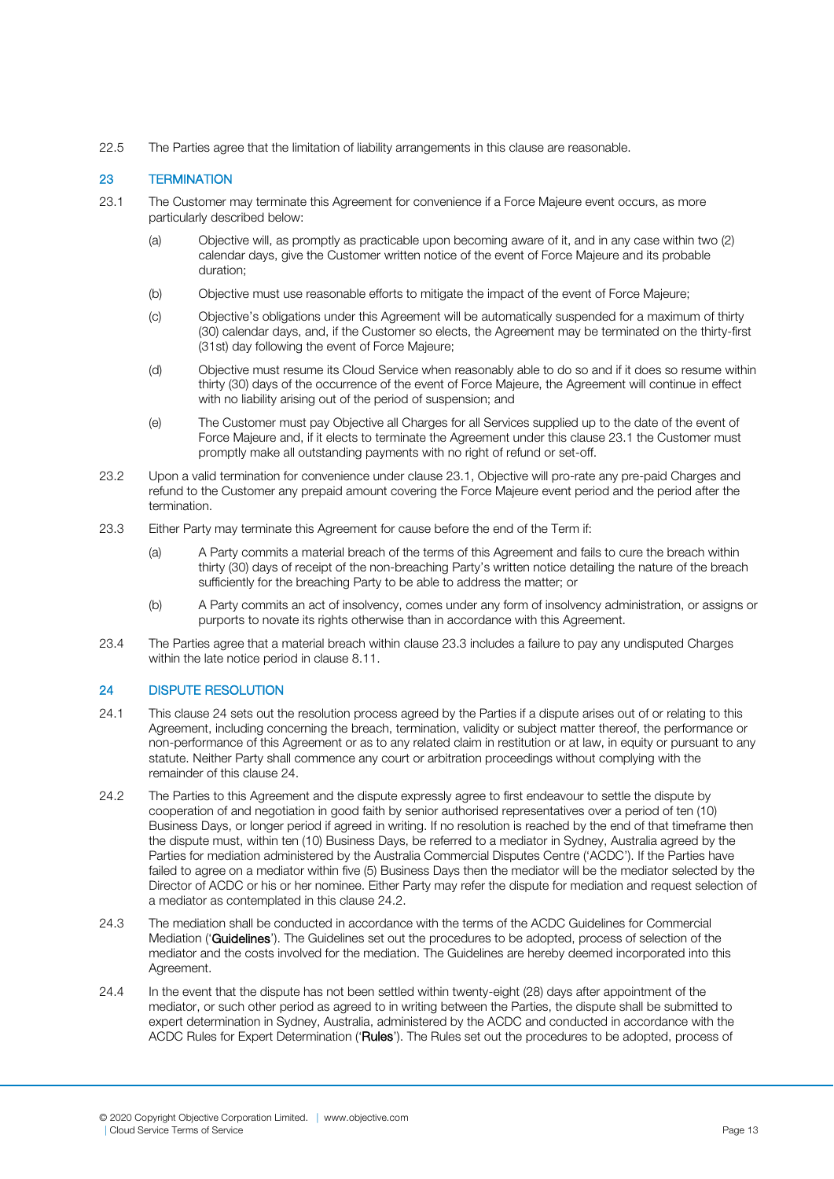22.5 The Parties agree that the limitation of liability arrangements in this clause are reasonable.

# 23 TERMINATION

- 23.1 The Customer may terminate this Agreement for convenience if a Force Majeure event occurs, as more particularly described below:
	- (a) Objective will, as promptly as practicable upon becoming aware of it, and in any case within two (2) calendar days, give the Customer written notice of the event of Force Majeure and its probable duration;
	- (b) Objective must use reasonable efforts to mitigate the impact of the event of Force Majeure;
	- (c) Objective's obligations under this Agreement will be automatically suspended for a maximum of thirty (30) calendar days, and, if the Customer so elects, the Agreement may be terminated on the thirty-first (31st) day following the event of Force Majeure;
	- (d) Objective must resume its Cloud Service when reasonably able to do so and if it does so resume within thirty (30) days of the occurrence of the event of Force Majeure, the Agreement will continue in effect with no liability arising out of the period of suspension; and
	- (e) The Customer must pay Objective all Charges for all Services supplied up to the date of the event of Force Majeure and, if it elects to terminate the Agreement under this clause 23.1 the Customer must promptly make all outstanding payments with no right of refund or set-off.
- 23.2 Upon a valid termination for convenience under clause 23.1, Objective will pro-rate any pre-paid Charges and refund to the Customer any prepaid amount covering the Force Majeure event period and the period after the termination.
- 23.3 Either Party may terminate this Agreement for cause before the end of the Term if:
	- (a) A Party commits a material breach of the terms of this Agreement and fails to cure the breach within thirty (30) days of receipt of the non-breaching Party's written notice detailing the nature of the breach sufficiently for the breaching Party to be able to address the matter; or
	- (b) A Party commits an act of insolvency, comes under any form of insolvency administration, or assigns or purports to novate its rights otherwise than in accordance with this Agreement.
- 23.4 The Parties agree that a material breach within clause 23.3 includes a failure to pay any undisputed Charges within the late notice period in clause 8.11.

# 24 DISPUTE RESOLUTION

- 24.1 This clause 24 sets out the resolution process agreed by the Parties if a dispute arises out of or relating to this Agreement, including concerning the breach, termination, validity or subject matter thereof, the performance or non-performance of this Agreement or as to any related claim in restitution or at law, in equity or pursuant to any statute. Neither Party shall commence any court or arbitration proceedings without complying with the remainder of this clause 24.
- 24.2 The Parties to this Agreement and the dispute expressly agree to first endeavour to settle the dispute by cooperation of and negotiation in good faith by senior authorised representatives over a period of ten (10) Business Days, or longer period if agreed in writing. If no resolution is reached by the end of that timeframe then the dispute must, within ten (10) Business Days, be referred to a mediator in Sydney, Australia agreed by the Parties for mediation administered by the Australia Commercial Disputes Centre ('ACDC'). If the Parties have failed to agree on a mediator within five (5) Business Days then the mediator will be the mediator selected by the Director of ACDC or his or her nominee. Either Party may refer the dispute for mediation and request selection of a mediator as contemplated in this clause 24.2.
- 24.3 The mediation shall be conducted in accordance with the terms of the ACDC Guidelines for Commercial Mediation ('Guidelines'). The Guidelines set out the procedures to be adopted, process of selection of the mediator and the costs involved for the mediation. The Guidelines are hereby deemed incorporated into this Agreement.
- 24.4 In the event that the dispute has not been settled within twenty-eight (28) days after appointment of the mediator, or such other period as agreed to in writing between the Parties, the dispute shall be submitted to expert determination in Sydney, Australia, administered by the ACDC and conducted in accordance with the ACDC Rules for Expert Determination ('Rules'). The Rules set out the procedures to be adopted, process of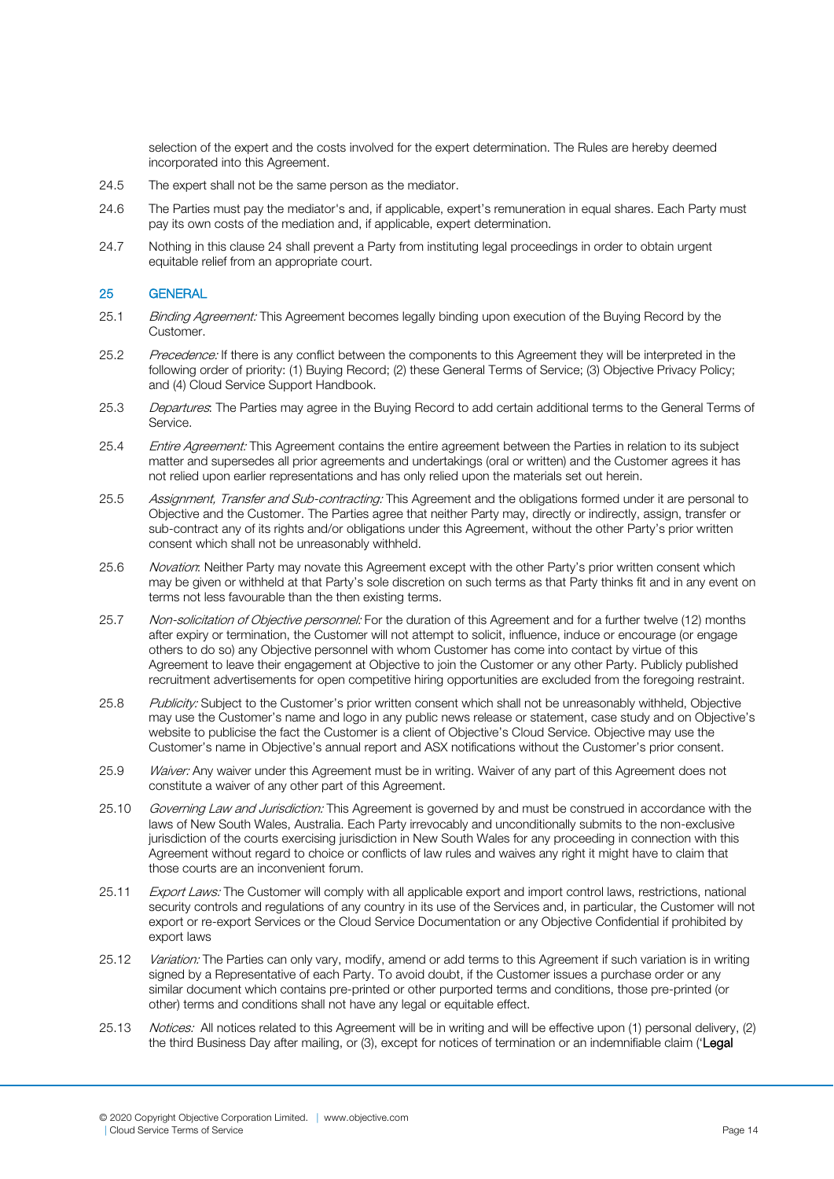selection of the expert and the costs involved for the expert determination. The Rules are hereby deemed incorporated into this Agreement.

- 24.5 The expert shall not be the same person as the mediator.
- 24.6 The Parties must pay the mediator's and, if applicable, expert's remuneration in equal shares. Each Party must pay its own costs of the mediation and, if applicable, expert determination.
- 24.7 Nothing in this clause 24 shall prevent a Party from instituting legal proceedings in order to obtain urgent equitable relief from an appropriate court.

# 25 GENERAL

- 25.1 Binding Agreement: This Agreement becomes legally binding upon execution of the Buying Record by the Customer.
- 25.2 Precedence: If there is any conflict between the components to this Agreement they will be interpreted in the following order of priority: (1) Buying Record; (2) these General Terms of Service; (3) Objective Privacy Policy; and (4) Cloud Service Support Handbook.
- 25.3 Departures: The Parties may agree in the Buying Record to add certain additional terms to the General Terms of Service.
- 25.4 Entire Agreement: This Agreement contains the entire agreement between the Parties in relation to its subject matter and supersedes all prior agreements and undertakings (oral or written) and the Customer agrees it has not relied upon earlier representations and has only relied upon the materials set out herein.
- 25.5 Assignment, Transfer and Sub-contracting: This Agreement and the obligations formed under it are personal to Objective and the Customer. The Parties agree that neither Party may, directly or indirectly, assign, transfer or sub-contract any of its rights and/or obligations under this Agreement, without the other Party's prior written consent which shall not be unreasonably withheld.
- 25.6 Novation: Neither Party may novate this Agreement except with the other Party's prior written consent which may be given or withheld at that Party's sole discretion on such terms as that Party thinks fit and in any event on terms not less favourable than the then existing terms.
- 25.7 Non-solicitation of Objective personnel: For the duration of this Agreement and for a further twelve (12) months after expiry or termination, the Customer will not attempt to solicit, influence, induce or encourage (or engage others to do so) any Objective personnel with whom Customer has come into contact by virtue of this Agreement to leave their engagement at Objective to join the Customer or any other Party. Publicly published recruitment advertisements for open competitive hiring opportunities are excluded from the foregoing restraint.
- 25.8 Publicity: Subject to the Customer's prior written consent which shall not be unreasonably withheld, Objective may use the Customer's name and logo in any public news release or statement, case study and on Objective's website to publicise the fact the Customer is a client of Objective's Cloud Service. Objective may use the Customer's name in Objective's annual report and ASX notifications without the Customer's prior consent.
- 25.9 Waiver: Any waiver under this Agreement must be in writing. Waiver of any part of this Agreement does not constitute a waiver of any other part of this Agreement.
- 25.10 Governing Law and Jurisdiction: This Agreement is governed by and must be construed in accordance with the laws of New South Wales, Australia. Each Party irrevocably and unconditionally submits to the non-exclusive jurisdiction of the courts exercising jurisdiction in New South Wales for any proceeding in connection with this Agreement without regard to choice or conflicts of law rules and waives any right it might have to claim that those courts are an inconvenient forum.
- 25.11 Export Laws: The Customer will comply with all applicable export and import control laws, restrictions, national security controls and regulations of any country in its use of the Services and, in particular, the Customer will not export or re-export Services or the Cloud Service Documentation or any Objective Confidential if prohibited by export laws
- 25.12 *Variation:* The Parties can only vary, modify, amend or add terms to this Agreement if such variation is in writing signed by a Representative of each Party. To avoid doubt, if the Customer issues a purchase order or any similar document which contains pre-printed or other purported terms and conditions, those pre-printed (or other) terms and conditions shall not have any legal or equitable effect.
- 25.13 Notices: All notices related to this Agreement will be in writing and will be effective upon (1) personal delivery, (2) the third Business Day after mailing, or (3), except for notices of termination or an indemnifiable claim ('Legal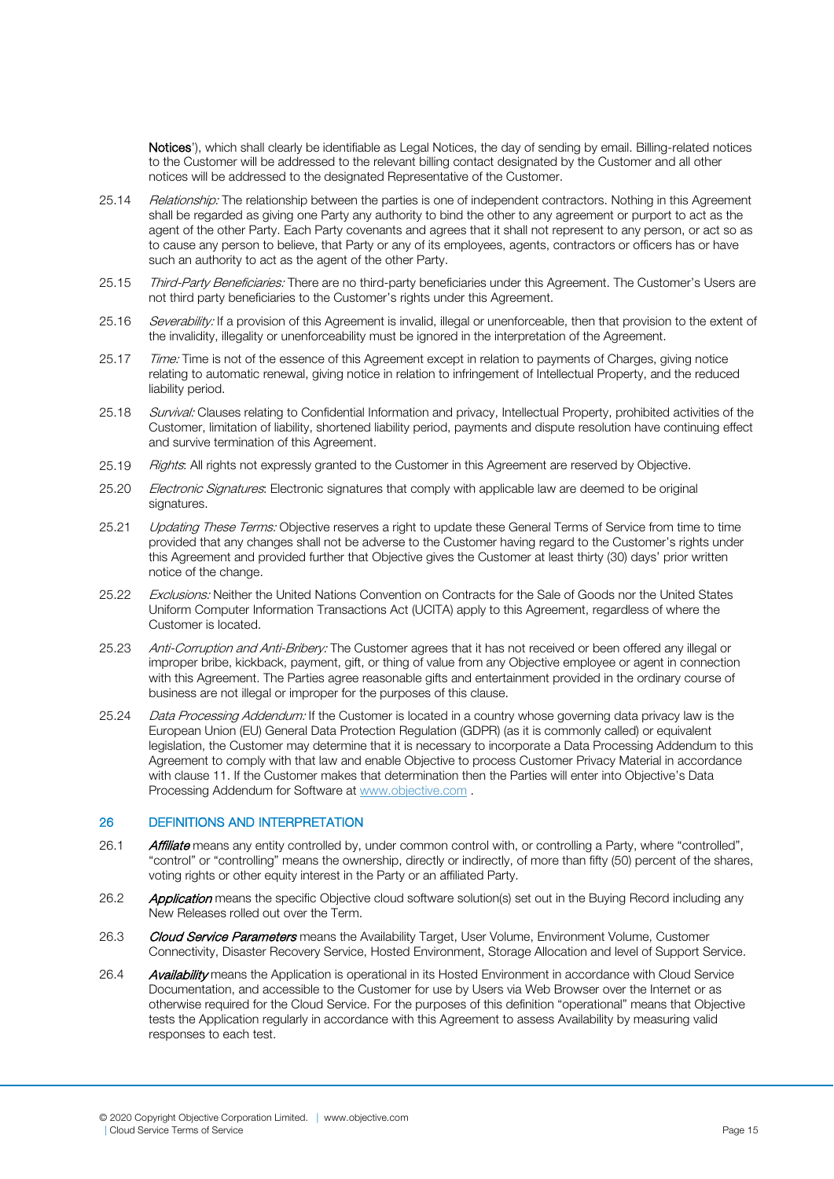Notices'), which shall clearly be identifiable as Legal Notices, the day of sending by email. Billing-related notices to the Customer will be addressed to the relevant billing contact designated by the Customer and all other notices will be addressed to the designated Representative of the Customer.

- 25.14 Relationship: The relationship between the parties is one of independent contractors. Nothing in this Agreement shall be regarded as giving one Party any authority to bind the other to any agreement or purport to act as the agent of the other Party. Each Party covenants and agrees that it shall not represent to any person, or act so as to cause any person to believe, that Party or any of its employees, agents, contractors or officers has or have such an authority to act as the agent of the other Party.
- 25.15 Third-Party Beneficiaries: There are no third-party beneficiaries under this Agreement. The Customer's Users are not third party beneficiaries to the Customer's rights under this Agreement.
- 25.16 Severability: If a provision of this Agreement is invalid, illegal or unenforceable, then that provision to the extent of the invalidity, illegality or unenforceability must be ignored in the interpretation of the Agreement.
- 25.17 Time: Time is not of the essence of this Agreement except in relation to payments of Charges, giving notice relating to automatic renewal, giving notice in relation to infringement of Intellectual Property, and the reduced liability period.
- 25.18 Survival: Clauses relating to Confidential Information and privacy, Intellectual Property, prohibited activities of the Customer, limitation of liability, shortened liability period, payments and dispute resolution have continuing effect and survive termination of this Agreement.
- 25.19 Rights: All rights not expressly granted to the Customer in this Agreement are reserved by Objective.
- 25.20 *Electronic Signatures*: Electronic signatures that comply with applicable law are deemed to be original signatures.
- 25.21 Updating These Terms: Objective reserves a right to update these General Terms of Service from time to time provided that any changes shall not be adverse to the Customer having regard to the Customer's rights under this Agreement and provided further that Objective gives the Customer at least thirty (30) days' prior written notice of the change.
- 25.22 Exclusions: Neither the United Nations Convention on Contracts for the Sale of Goods nor the United States Uniform Computer Information Transactions Act (UCITA) apply to this Agreement, regardless of where the Customer is located.
- 25.23 Anti-Corruption and Anti-Bribery: The Customer agrees that it has not received or been offered any illegal or improper bribe, kickback, payment, gift, or thing of value from any Objective employee or agent in connection with this Agreement. The Parties agree reasonable gifts and entertainment provided in the ordinary course of business are not illegal or improper for the purposes of this clause.
- 25.24 Data Processing Addendum: If the Customer is located in a country whose governing data privacy law is the European Union (EU) General Data Protection Regulation (GDPR) (as it is commonly called) or equivalent legislation, the Customer may determine that it is necessary to incorporate a Data Processing Addendum to this Agreement to comply with that law and enable Objective to process Customer Privacy Material in accordance with clause 11. If the Customer makes that determination then the Parties will enter into Objective's Data Processing Addendum for Software at [www.objective.com](http://www.objective.com/) .

# 26 DEFINITIONS AND INTERPRETATION

- 26.1 **Affiliate** means any entity controlled by, under common control with, or controlling a Party, where "controlled", "control" or "controlling" means the ownership, directly or indirectly, of more than fifty (50) percent of the shares, voting rights or other equity interest in the Party or an affiliated Party.
- 26.2 Application means the specific Objective cloud software solution(s) set out in the Buying Record including any New Releases rolled out over the Term.
- 26.3 Cloud Service Parameters means the Availability Target, User Volume, Environment Volume, Customer Connectivity, Disaster Recovery Service, Hosted Environment, Storage Allocation and level of Support Service.
- 26.4 Availability means the Application is operational in its Hosted Environment in accordance with Cloud Service Documentation, and accessible to the Customer for use by Users via Web Browser over the Internet or as otherwise required for the Cloud Service. For the purposes of this definition "operational" means that Objective tests the Application regularly in accordance with this Agreement to assess Availability by measuring valid responses to each test.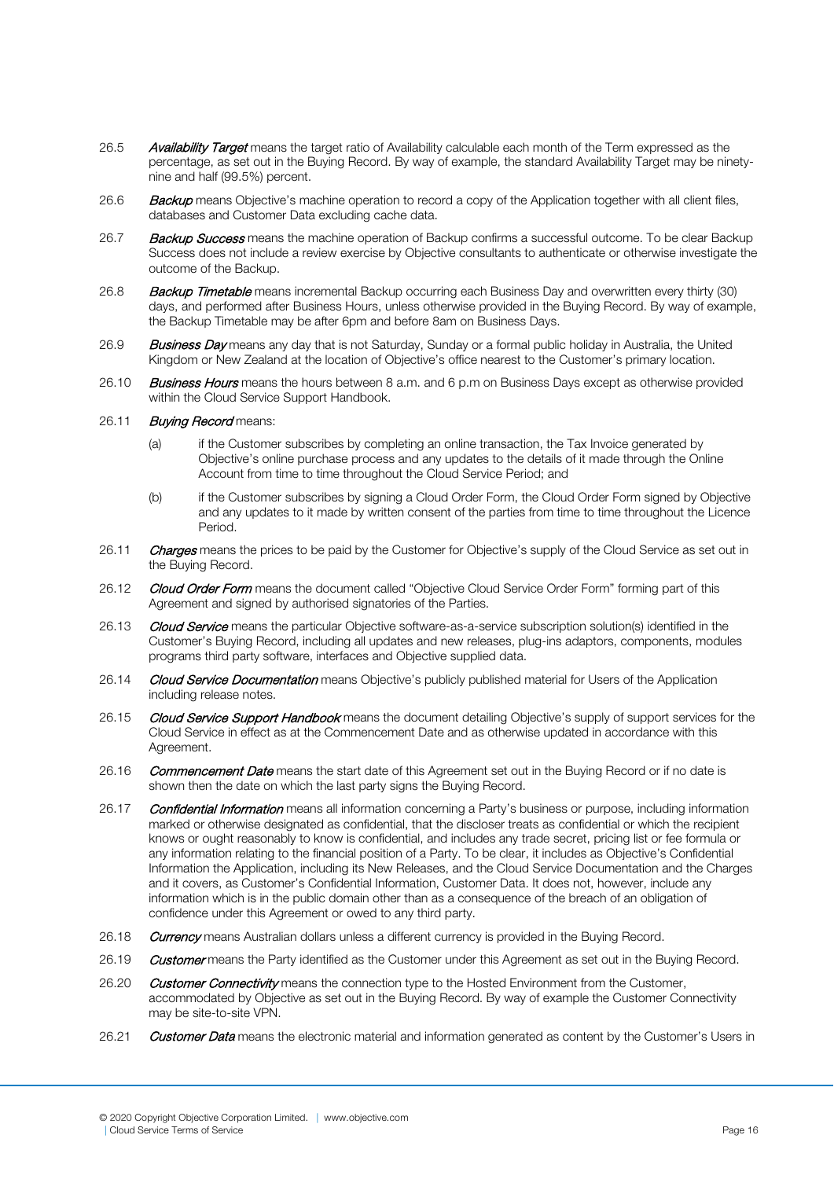- 26.5 Availability Target means the target ratio of Availability calculable each month of the Term expressed as the percentage, as set out in the Buying Record. By way of example, the standard Availability Target may be ninetynine and half (99.5%) percent.
- 26.6 Backup means Objective's machine operation to record a copy of the Application together with all client files, databases and Customer Data excluding cache data.
- 26.7 Backup Success means the machine operation of Backup confirms a successful outcome. To be clear Backup Success does not include a review exercise by Objective consultants to authenticate or otherwise investigate the outcome of the Backup.
- 26.8 Backup Timetable means incremental Backup occurring each Business Day and overwritten every thirty (30) days, and performed after Business Hours, unless otherwise provided in the Buying Record. By way of example, the Backup Timetable may be after 6pm and before 8am on Business Days.
- 26.9 Business Day means any day that is not Saturday, Sunday or a formal public holiday in Australia, the United Kingdom or New Zealand at the location of Objective's office nearest to the Customer's primary location.
- 26.10 Business Hours means the hours between 8 a.m. and 6 p.m on Business Days except as otherwise provided within the Cloud Service Support Handbook.
- 26.11 Buying Record means:
	- (a) if the Customer subscribes by completing an online transaction, the Tax Invoice generated by Objective's online purchase process and any updates to the details of it made through the Online Account from time to time throughout the Cloud Service Period; and
	- (b) if the Customer subscribes by signing a Cloud Order Form, the Cloud Order Form signed by Objective and any updates to it made by written consent of the parties from time to time throughout the Licence Period.
- 26.11 Charges means the prices to be paid by the Customer for Objective's supply of the Cloud Service as set out in the Buying Record.
- 26.12 Cloud Order Form means the document called "Objective Cloud Service Order Form" forming part of this Agreement and signed by authorised signatories of the Parties.
- 26.13 Cloud Service means the particular Objective software-as-a-service subscription solution(s) identified in the Customer's Buying Record, including all updates and new releases, plug-ins adaptors, components, modules programs third party software, interfaces and Objective supplied data.
- 26.14 Cloud Service Documentation means Objective's publicly published material for Users of the Application including release notes.
- 26.15 Cloud Service Support Handbook means the document detailing Objective's supply of support services for the Cloud Service in effect as at the Commencement Date and as otherwise updated in accordance with this Agreement.
- 26.16 Commencement Date means the start date of this Agreement set out in the Buying Record or if no date is shown then the date on which the last party signs the Buying Record.
- 26.17 Confidential Information means all information concerning a Party's business or purpose, including information marked or otherwise designated as confidential, that the discloser treats as confidential or which the recipient knows or ought reasonably to know is confidential, and includes any trade secret, pricing list or fee formula or any information relating to the financial position of a Party. To be clear, it includes as Objective's Confidential Information the Application, including its New Releases, and the Cloud Service Documentation and the Charges and it covers, as Customer's Confidential Information, Customer Data. It does not, however, include any information which is in the public domain other than as a consequence of the breach of an obligation of confidence under this Agreement or owed to any third party.
- 26.18 Currency means Australian dollars unless a different currency is provided in the Buying Record.
- 26.19 Customer means the Party identified as the Customer under this Agreement as set out in the Buying Record.
- 26.20 Customer Connectivity means the connection type to the Hosted Environment from the Customer, accommodated by Objective as set out in the Buying Record. By way of example the Customer Connectivity may be site-to-site VPN.
- 26.21 Customer Data means the electronic material and information generated as content by the Customer's Users in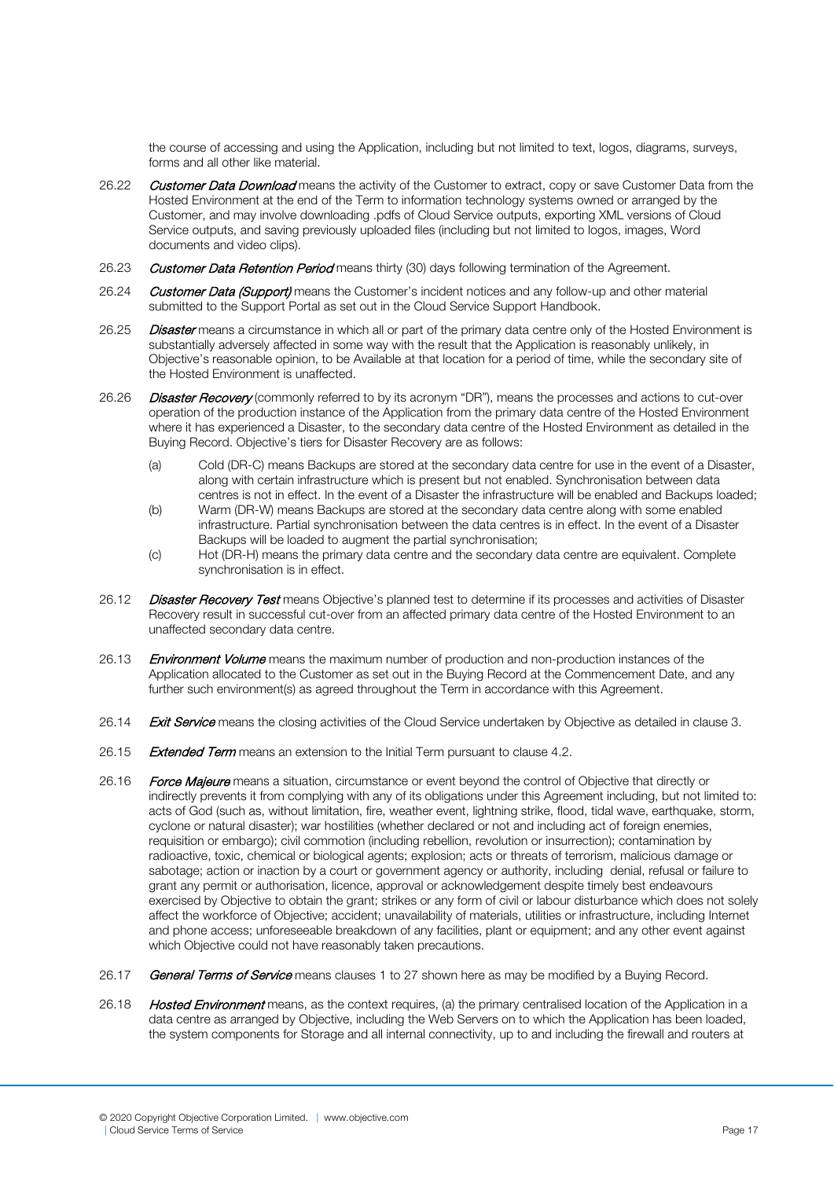the course of accessing and using the Application, including but not limited to text, logos, diagrams, surveys, forms and all other like material.

- 26.22 Customer Data Download means the activity of the Customer to extract, copy or save Customer Data from the Hosted Environment at the end of the Term to information technology systems owned or arranged by the Customer, and may involve downloading .pdfs of Cloud Service outputs, exporting XML versions of Cloud Service outputs, and saving previously uploaded files (including but not limited to logos, images, Word documents and video clips).
- 26.23 Customer Data Retention Period means thirty (30) days following termination of the Agreement.
- 26.24 Customer Data (Support) means the Customer's incident notices and any follow-up and other material submitted to the Support Portal as set out in the Cloud Service Support Handbook.
- 26.25 Disaster means a circumstance in which all or part of the primary data centre only of the Hosted Environment is substantially adversely affected in some way with the result that the Application is reasonably unlikely, in Objective's reasonable opinion, to be Available at that location for a period of time, while the secondary site of the Hosted Environment is unaffected.
- 26.26 Disaster Recovery (commonly referred to by its acronym "DR"), means the processes and actions to cut-over operation of the production instance of the Application from the primary data centre of the Hosted Environment where it has experienced a Disaster, to the secondary data centre of the Hosted Environment as detailed in the Buying Record. Objective's tiers for Disaster Recovery are as follows:
	- (a) Cold (DR-C) means Backups are stored at the secondary data centre for use in the event of a Disaster, along with certain infrastructure which is present but not enabled. Synchronisation between data centres is not in effect. In the event of a Disaster the infrastructure will be enabled and Backups loaded;
	- (b) Warm (DR-W) means Backups are stored at the secondary data centre along with some enabled infrastructure. Partial synchronisation between the data centres is in effect. In the event of a Disaster Backups will be loaded to augment the partial synchronisation;
	- (c) Hot (DR-H) means the primary data centre and the secondary data centre are equivalent. Complete synchronisation is in effect.
- 26.12 Disaster Recovery Test means Objective's planned test to determine if its processes and activities of Disaster Recovery result in successful cut-over from an affected primary data centre of the Hosted Environment to an unaffected secondary data centre.
- 26.13 **Environment Volume** means the maximum number of production and non-production instances of the Application allocated to the Customer as set out in the Buying Record at the Commencement Date, and any further such environment(s) as agreed throughout the Term in accordance with this Agreement.
- 26.14 Exit Service means the closing activities of the Cloud Service undertaken by Objective as detailed in clause 3.
- 26.15 Extended Term means an extension to the Initial Term pursuant to clause 4.2.
- 26.16 Force Majeure means a situation, circumstance or event beyond the control of Objective that directly or indirectly prevents it from complying with any of its obligations under this Agreement including, but not limited to: acts of God (such as, without limitation, fire, weather event, lightning strike, flood, tidal wave, earthquake, storm, cyclone or natural disaster); war hostilities (whether declared or not and including act of foreign enemies, requisition or embargo); civil commotion (including rebellion, revolution or insurrection); contamination by radioactive, toxic, chemical or biological agents; explosion; acts or threats of terrorism, malicious damage or sabotage; action or inaction by a court or government agency or authority, including denial, refusal or failure to grant any permit or authorisation, licence, approval or acknowledgement despite timely best endeavours exercised by Objective to obtain the grant; strikes or any form of civil or labour disturbance which does not solely affect the workforce of Objective; accident; unavailability of materials, utilities or infrastructure, including Internet and phone access; unforeseeable breakdown of any facilities, plant or equipment; and any other event against which Objective could not have reasonably taken precautions.
- 26.17 General Terms of Service means clauses 1 to 27 shown here as may be modified by a Buying Record.
- 26.18 **Hosted Environment** means, as the context requires, (a) the primary centralised location of the Application in a data centre as arranged by Objective, including the Web Servers on to which the Application has been loaded, the system components for Storage and all internal connectivity, up to and including the firewall and routers at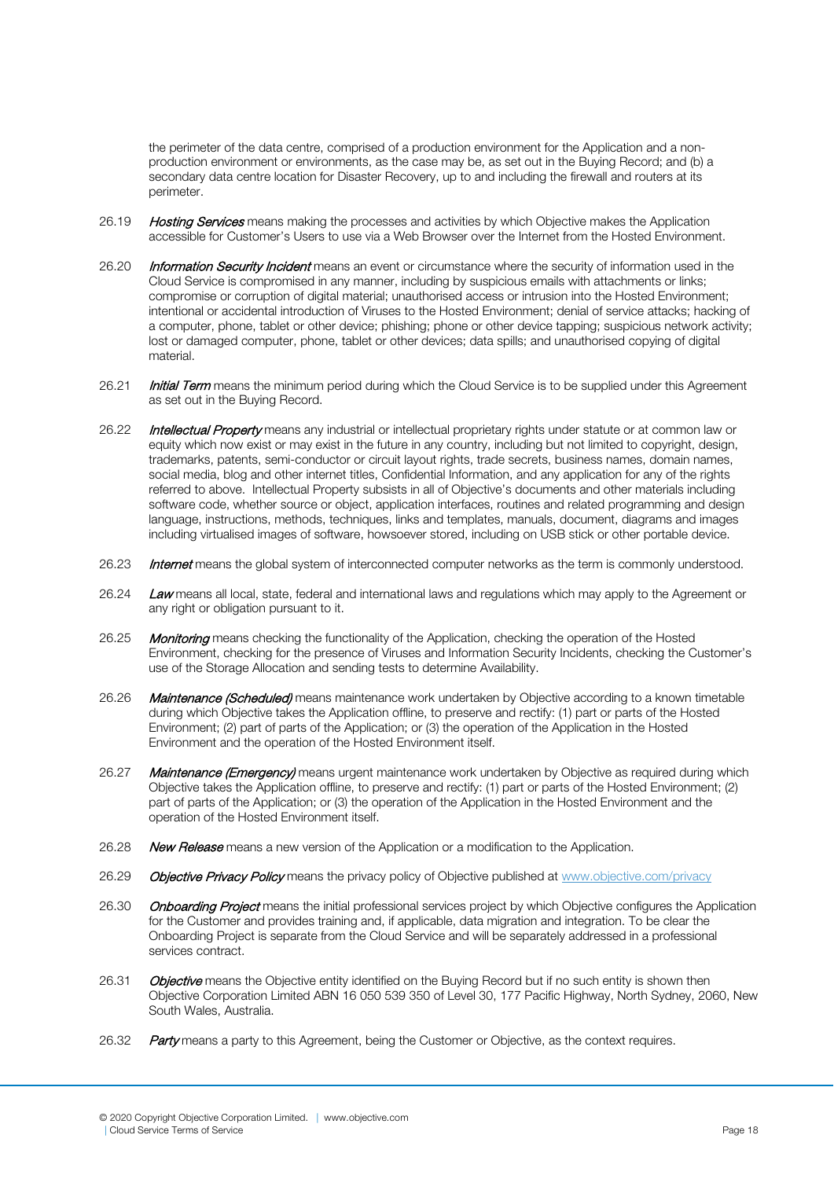the perimeter of the data centre, comprised of a production environment for the Application and a nonproduction environment or environments, as the case may be, as set out in the Buying Record; and (b) a secondary data centre location for Disaster Recovery, up to and including the firewall and routers at its perimeter.

- 26.19 Hosting Services means making the processes and activities by which Objective makes the Application accessible for Customer's Users to use via a Web Browser over the Internet from the Hosted Environment.
- 26.20 Information Security Incident means an event or circumstance where the security of information used in the Cloud Service is compromised in any manner, including by suspicious emails with attachments or links; compromise or corruption of digital material; unauthorised access or intrusion into the Hosted Environment; intentional or accidental introduction of Viruses to the Hosted Environment; denial of service attacks; hacking of a computer, phone, tablet or other device; phishing; phone or other device tapping; suspicious network activity; lost or damaged computer, phone, tablet or other devices; data spills; and unauthorised copying of digital material.
- 26.21 **Initial Term** means the minimum period during which the Cloud Service is to be supplied under this Agreement as set out in the Buying Record.
- 26.22 Intellectual Property means any industrial or intellectual proprietary rights under statute or at common law or equity which now exist or may exist in the future in any country, including but not limited to copyright, design, trademarks, patents, semi-conductor or circuit layout rights, trade secrets, business names, domain names, social media, blog and other internet titles, Confidential Information, and any application for any of the rights referred to above. Intellectual Property subsists in all of Objective's documents and other materials including software code, whether source or object, application interfaces, routines and related programming and design language, instructions, methods, techniques, links and templates, manuals, document, diagrams and images including virtualised images of software, howsoever stored, including on USB stick or other portable device.
- 26.23 **Internet** means the global system of interconnected computer networks as the term is commonly understood.
- 26.24 Law means all local, state, federal and international laws and requlations which may apply to the Agreement or any right or obligation pursuant to it.
- 26.25 **Monitoring** means checking the functionality of the Application, checking the operation of the Hosted Environment, checking for the presence of Viruses and Information Security Incidents, checking the Customer's use of the Storage Allocation and sending tests to determine Availability.
- 26.26 Maintenance (Scheduled) means maintenance work undertaken by Objective according to a known timetable during which Objective takes the Application offline, to preserve and rectify: (1) part or parts of the Hosted Environment; (2) part of parts of the Application; or (3) the operation of the Application in the Hosted Environment and the operation of the Hosted Environment itself.
- 26.27 Maintenance (Emergency) means urgent maintenance work undertaken by Objective as required during which Objective takes the Application offline, to preserve and rectify: (1) part or parts of the Hosted Environment; (2) part of parts of the Application; or (3) the operation of the Application in the Hosted Environment and the operation of the Hosted Environment itself.
- 26.28 New Release means a new version of the Application or a modification to the Application.
- 26.29 **Objective Privacy Policy** means the privacy policy of Objective published at [www.objective.com/privacy](http://www.objective.com/privacy)
- 26.30 Onboarding Project means the initial professional services project by which Objective configures the Application for the Customer and provides training and, if applicable, data migration and integration. To be clear the Onboarding Project is separate from the Cloud Service and will be separately addressed in a professional services contract.
- 26.31 Objective means the Objective entity identified on the Buying Record but if no such entity is shown then Objective Corporation Limited ABN 16 050 539 350 of Level 30, 177 Pacific Highway, North Sydney, 2060, New South Wales, Australia.
- 26.32 Party means a party to this Agreement, being the Customer or Objective, as the context requires.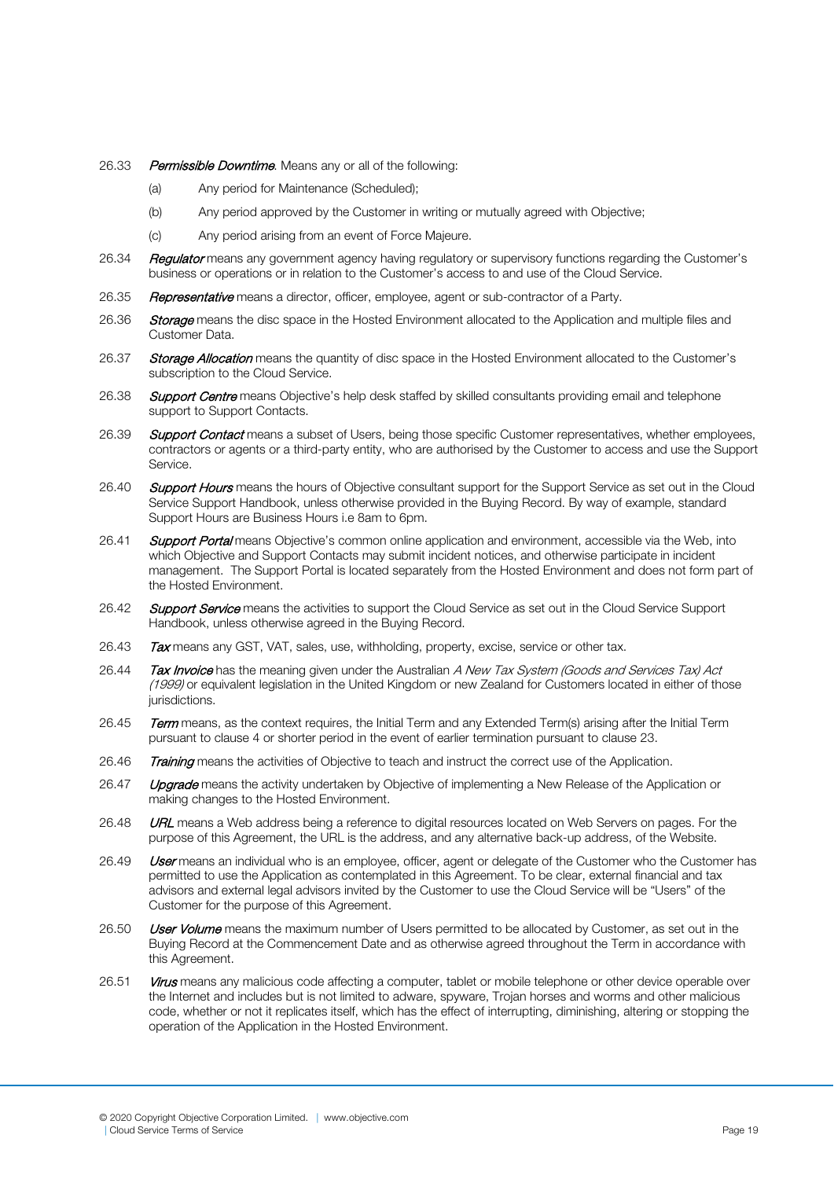- 26.33 Permissible Downtime. Means any or all of the following:
	- (a) Any period for Maintenance (Scheduled);
	- (b) Any period approved by the Customer in writing or mutually agreed with Objective;
	- (c) Any period arising from an event of Force Majeure.
- 26.34 **Regulator** means any government agency having regulatory or supervisory functions regarding the Customer's business or operations or in relation to the Customer's access to and use of the Cloud Service.
- 26.35 Representative means a director, officer, employee, agent or sub-contractor of a Party.
- 26.36 Storage means the disc space in the Hosted Environment allocated to the Application and multiple files and Customer Data.
- 26.37 Storage Allocation means the quantity of disc space in the Hosted Environment allocated to the Customer's subscription to the Cloud Service.
- 26.38 Support Centre means Objective's help desk staffed by skilled consultants providing email and telephone support to Support Contacts.
- 26.39 Support Contact means a subset of Users, being those specific Customer representatives, whether employees, contractors or agents or a third-party entity, who are authorised by the Customer to access and use the Support Service.
- 26.40 Support Hours means the hours of Objective consultant support for the Support Service as set out in the Cloud Service Support Handbook, unless otherwise provided in the Buying Record. By way of example, standard Support Hours are Business Hours i.e 8am to 6pm.
- 26.41 Support Portal means Objective's common online application and environment, accessible via the Web, into which Objective and Support Contacts may submit incident notices, and otherwise participate in incident management. The Support Portal is located separately from the Hosted Environment and does not form part of the Hosted Environment.
- 26.42 Support Service means the activities to support the Cloud Service as set out in the Cloud Service Support Handbook, unless otherwise agreed in the Buying Record.
- 26.43 Tax means any GST, VAT, sales, use, withholding, property, excise, service or other tax.
- 26.44 Tax Invoice has the meaning given under the Australian A New Tax System (Goods and Services Tax) Act (1999) or equivalent legislation in the United Kingdom or new Zealand for Customers located in either of those jurisdictions.
- 26.45 Term means, as the context requires, the Initial Term and any Extended Term(s) arising after the Initial Term pursuant to clause 4 or shorter period in the event of earlier termination pursuant to clause 23.
- 26.46 Training means the activities of Objective to teach and instruct the correct use of the Application.
- 26.47 Upgrade means the activity undertaken by Objective of implementing a New Release of the Application or making changes to the Hosted Environment.
- 26.48 **URL** means a Web address being a reference to digital resources located on Web Servers on pages. For the purpose of this Agreement, the URL is the address, and any alternative back-up address, of the Website.
- 26.49 User means an individual who is an employee, officer, agent or delegate of the Customer who the Customer has permitted to use the Application as contemplated in this Agreement. To be clear, external financial and tax advisors and external legal advisors invited by the Customer to use the Cloud Service will be "Users" of the Customer for the purpose of this Agreement.
- 26.50 User Volume means the maximum number of Users permitted to be allocated by Customer, as set out in the Buying Record at the Commencement Date and as otherwise agreed throughout the Term in accordance with this Agreement.
- 26.51 Virus means any malicious code affecting a computer, tablet or mobile telephone or other device operable over the Internet and includes but is not limited to adware, spyware, Trojan horses and worms and other malicious code, whether or not it replicates itself, which has the effect of interrupting, diminishing, altering or stopping the operation of the Application in the Hosted Environment.